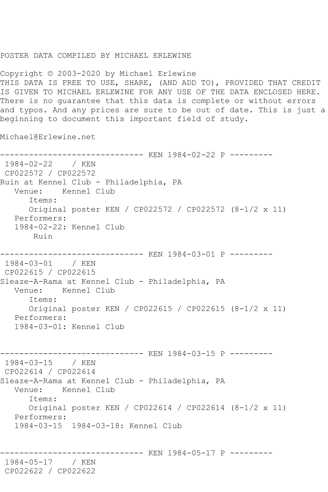## POSTER DATA COMPILED BY MICHAEL ERLEWINE

Copyright © 2003-2020 by Michael Erlewine THIS DATA IS FREE TO USE, SHARE, (AND ADD TO), PROVIDED THAT CREDIT IS GIVEN TO MICHAEL ERLEWINE FOR ANY USE OF THE DATA ENCLOSED HERE. There is no guarantee that this data is complete or without errors and typos. And any prices are sure to be out of date. This is just a beginning to document this important field of study.

Michael@Erlewine.net

------------------------------ KEN 1984-02-22 P --------- 1984-02-22 / KEN CP022572 / CP022572 Ruin at Kennel Club - Philadelphia, PA Venue: Kennel Club Items: Original poster KEN / CP022572 / CP022572 (8-1/2 x 11) Performers: 1984-02-22: Kennel Club Ruin ------------------------------ KEN 1984-03-01 P --------- 1984-03-01 / KEN CP022615 / CP022615 Sleaze-A-Rama at Kennel Club - Philadelphia, PA Venue: Kennel Club Items: Original poster KEN / CP022615 / CP022615 (8-1/2 x 11) Performers: 1984-03-01: Kennel Club ------------------------------ KEN 1984-03-15 P --------- 1984-03-15 / KEN CP022614 / CP022614 Sleaze-A-Rama at Kennel Club - Philadelphia, PA Venue: Kennel Club Items: Original poster KEN / CP022614 / CP022614 (8-1/2 x 11) Performers: 1984-03-15 1984-03-18: Kennel Club ------------------------------ KEN 1984-05-17 P --------- 1984-05-17 / KEN CP022622 / CP022622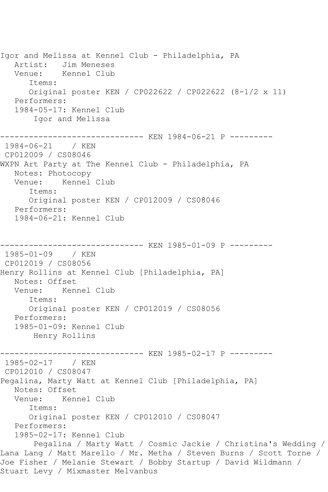Igor and Melissa at Kennel Club - Philadelphia, PA Artist: Jim Meneses Venue: Kennel Club Items: Original poster KEN / CP022622 / CP022622 (8-1/2 x 11) Performers: 1984-05-17: Kennel Club Igor and Melissa ------------------------------ KEN 1984-06-21 P --------- 1984-06-21 / KEN CP012009 / CS08046 WXPN Art Party at The Kennel Club - Philadelphia, PA Notes: Photocopy Venue: Kennel Club Items: Original poster KEN / CP012009 / CS08046 Performers: 1984-06-21: Kennel Club ----------- KEN 1985-01-09 P ---------1985-01-09 / KEN CP012019 / CS08056 Henry Rollins at Kennel Club [Philadelphia, PA] Notes: Offset<br>Venue: Kenr Kennel Club Items: Original poster KEN / CP012019 / CS08056 Performers: 1985-01-09: Kennel Club Henry Rollins ------------------------------ KEN 1985-02-17 P --------- 1985-02-17 / KEN CP012010 / CS08047 Pegalina, Marty Watt at Kennel Club [Philadelphia, PA] Notes: Offset Venue: Kennel Club Items: Original poster KEN / CP012010 / CS08047 Performers: 1985-02-17: Kennel Club Pegalina / Marty Watt / Cosmic Jackie / Christina's Wedding / Lana Lang / Matt Marello / Mr. Metha / Steven Burns / Scott Torne / Joe Fisher / Melanie Stewart / Bobby Startup / David Wildmann / Stuart Levy / Mixmaster Melvanbus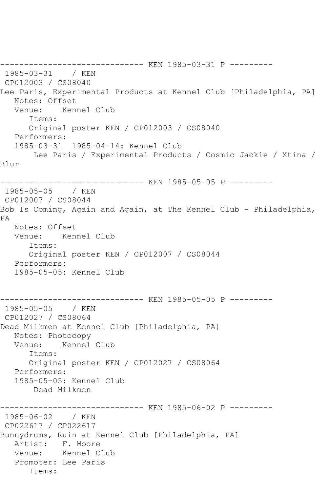------------------------------ KEN 1985-03-31 P --------- 1985-03-31 / KEN CP012003 / CS08040 Lee Paris, Experimental Products at Kennel Club [Philadelphia, PA] Notes: Offset Venue: Kennel Club Items: Original poster KEN / CP012003 / CS08040 Performers: 1985-03-31 1985-04-14: Kennel Club Lee Paris / Experimental Products / Cosmic Jackie / Xtina / Blur ------------------------------ KEN 1985-05-05 P --------- 1985-05-05 / KEN CP012007 / CS08044 Bob Is Coming, Again and Again, at The Kennel Club - Philadelphia, PA Notes: Offset Venue: Kennel Club Items: Original poster KEN / CP012007 / CS08044 Performers: 1985-05-05: Kennel Club ------------------------------ KEN 1985-05-05 P --------- 1985-05-05 / KEN CP012027 / CS08064 Dead Milkmen at Kennel Club [Philadelphia, PA] Notes: Photocopy<br>Venue: Kennel Kennel Club Items: Original poster KEN / CP012027 / CS08064 Performers: 1985-05-05: Kennel Club Dead Milkmen ------------------------------ KEN 1985-06-02 P --------- 1985-06-02 / KEN CP022617 / CP022617 Bunnydrums, Ruin at Kennel Club [Philadelphia, PA] Artist: F. Moore Venue: Kennel Club Promoter: Lee Paris Items: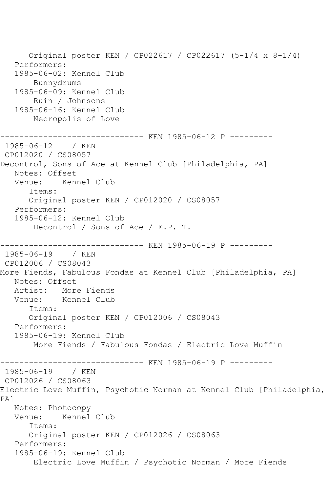Original poster KEN / CP022617 / CP022617 (5-1/4 x 8-1/4) Performers: 1985-06-02: Kennel Club Bunnydrums 1985-06-09: Kennel Club Ruin / Johnsons 1985-06-16: Kennel Club Necropolis of Love ------------------------------ KEN 1985-06-12 P --------- 1985-06-12 / KEN CP012020 / CS08057 Decontrol, Sons of Ace at Kennel Club [Philadelphia, PA] Notes: Offset Venue: Kennel Club Items: Original poster KEN / CP012020 / CS08057 Performers: 1985-06-12: Kennel Club Decontrol / Sons of Ace / E.P. T. ------------ KEN 1985-06-19 P ---------1985-06-19 / KEN CP012006 / CS08043 More Fiends, Fabulous Fondas at Kennel Club [Philadelphia, PA] Notes: Offset Artist: More Fiends Venue: Kennel Club Items: Original poster KEN / CP012006 / CS08043 Performers: 1985-06-19: Kennel Club More Fiends / Fabulous Fondas / Electric Love Muffin ------------ KEN 1985-06-19 P ---------1985-06-19 / KEN CP012026 / CS08063 Electric Love Muffin, Psychotic Norman at Kennel Club [Philadelphia, PA] Notes: Photocopy Venue: Kennel Club Items: Original poster KEN / CP012026 / CS08063 Performers: 1985-06-19: Kennel Club Electric Love Muffin / Psychotic Norman / More Fiends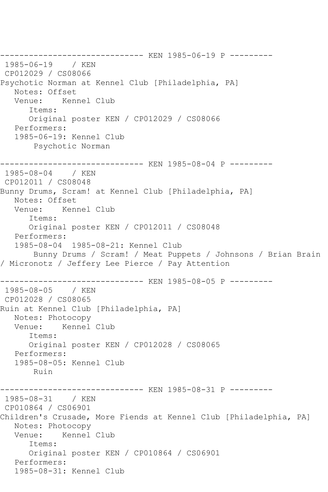------------------------------ KEN 1985-06-19 P --------- 1985-06-19 / KEN CP012029 / CS08066 Psychotic Norman at Kennel Club [Philadelphia, PA] Notes: Offset<br>Venue: Ken Venue: Kennel Club Items: Original poster KEN / CP012029 / CS08066 Performers: 1985-06-19: Kennel Club Psychotic Norman ------------------------------ KEN 1985-08-04 P --------- 1985-08-04 / KEN CP012011 / CS08048 Bunny Drums, Scram! at Kennel Club [Philadelphia, PA] Notes: Offset Venue: Kennel Club Items: Original poster KEN / CP012011 / CS08048 Performers: 1985-08-04 1985-08-21: Kennel Club Bunny Drums / Scram! / Meat Puppets / Johnsons / Brian Brain / Micronotz / Jeffery Lee Pierce / Pay Attention ------------------------------ KEN 1985-08-05 P --------- 1985-08-05 / KEN CP012028 / CS08065 Ruin at Kennel Club [Philadelphia, PA] Notes: Photocopy Venue: Kennel Club Items: Original poster KEN / CP012028 / CS08065 Performers: 1985-08-05: Kennel Club Ruin ------------------------------ KEN 1985-08-31 P --------- 1985-08-31 / KEN CP010864 / CS06901 Children's Crusade, More Fiends at Kennel Club [Philadelphia, PA] Notes: Photocopy Venue: Kennel Club Items: Original poster KEN / CP010864 / CS06901 Performers: 1985-08-31: Kennel Club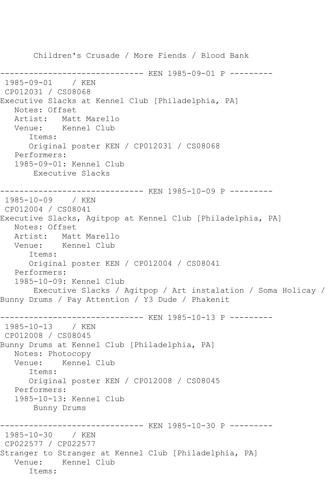```
 Children's Crusade / More Fiends / Blood Bank
            ------------------------------ KEN 1985-09-01 P ---------
1985-09-01 / KEN 
CP012031 / CS08068
Executive Slacks at Kennel Club [Philadelphia, PA]
   Notes: Offset
   Artist: Matt Marello
   Venue: Kennel Club
       Items:
       Original poster KEN / CP012031 / CS08068
   Performers:
   1985-09-01: Kennel Club
        Executive Slacks
------------------------------ KEN 1985-10-09 P ---------
1985-10-09 / KEN 
CP012004 / CS08041
Executive Slacks, Agitpop at Kennel Club [Philadelphia, PA]
   Notes: Offset
   Artist: Matt Marello
   Venue: Kennel Club
      Items:
      Original poster KEN / CP012004 / CS08041
   Performers:
   1985-10-09: Kennel Club
       Executive Slacks / Agitpop / Art instalation / Soma Holicay / 
Bunny Drums / Pay Attention / Y3 Dude / Phakenit
------------------------------ KEN 1985-10-13 P ---------
1985-10-13 / KEN 
CP012008 / CS08045
Bunny Drums at Kennel Club [Philadelphia, PA]
   Notes: Photocopy
   Venue: Kennel Club
      Items:
      Original poster KEN / CP012008 / CS08045
   Performers:
   1985-10-13: Kennel Club
        Bunny Drums
------------------------------ KEN 1985-10-30 P ---------
1985-10-30 / KEN 
CP022577 / CP022577
Stranger to Stranger at Kennel Club [Philadelphia, PA]
   Venue: Kennel Club
       Items:
```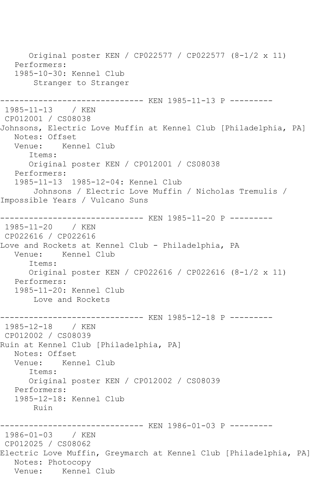Original poster KEN / CP022577 / CP022577 (8-1/2 x 11) Performers: 1985-10-30: Kennel Club Stranger to Stranger ------------------------------ KEN 1985-11-13 P --------- 1985-11-13 / KEN CP012001 / CS08038 Johnsons, Electric Love Muffin at Kennel Club [Philadelphia, PA] Notes: Offset<br>Venue: Kenr Kennel Club Items: Original poster KEN / CP012001 / CS08038 Performers: 1985-11-13 1985-12-04: Kennel Club Johnsons / Electric Love Muffin / Nicholas Tremulis / Impossible Years / Vulcano Suns ------------------------------ KEN 1985-11-20 P --------- 1985-11-20 / KEN CP022616 / CP022616 Love and Rockets at Kennel Club - Philadelphia, PA Venue: Kennel Club Items: Original poster KEN / CP022616 / CP022616 (8-1/2 x 11) Performers: 1985-11-20: Kennel Club Love and Rockets ------------------------------ KEN 1985-12-18 P --------- 1985-12-18 / KEN CP012002 / CS08039 Ruin at Kennel Club [Philadelphia, PA] Notes: Offset Venue: Kennel Club Items: Original poster KEN / CP012002 / CS08039 Performers: 1985-12-18: Kennel Club Ruin ------------------------------ KEN 1986-01-03 P --------- 1986-01-03 / KEN CP012025 / CS08062 Electric Love Muffin, Greymarch at Kennel Club [Philadelphia, PA] Notes: Photocopy Venue: Kennel Club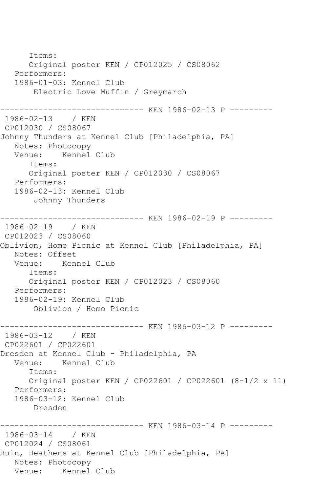Items: Original poster KEN / CP012025 / CS08062 Performers: 1986-01-03: Kennel Club Electric Love Muffin / Greymarch ------------------------------ KEN 1986-02-13 P --------- 1986-02-13 / KEN CP012030 / CS08067 Johnny Thunders at Kennel Club [Philadelphia, PA] Notes: Photocopy Venue: Kennel Club Items: Original poster KEN / CP012030 / CS08067 Performers: 1986-02-13: Kennel Club Johnny Thunders ----------- KEN 1986-02-19 P ---------1986-02-19 / KEN CP012023 / CS08060 Oblivion, Homo Picnic at Kennel Club [Philadelphia, PA] Notes: Offset<br>Venue: Kenr Kennel Club Items: Original poster KEN / CP012023 / CS08060 Performers: 1986-02-19: Kennel Club Oblivion / Homo Picnic ------------------------------ KEN 1986-03-12 P --------- 1986-03-12 / KEN CP022601 / CP022601 Dresden at Kennel Club - Philadelphia, PA Venue: Kennel Club Items: Original poster KEN / CP022601 / CP022601 (8-1/2 x 11) Performers: 1986-03-12: Kennel Club Dresden ------------------------------ KEN 1986-03-14 P --------- 1986-03-14 / KEN CP012024 / CS08061 Ruin, Heathens at Kennel Club [Philadelphia, PA] Notes: Photocopy Venue: Kennel Club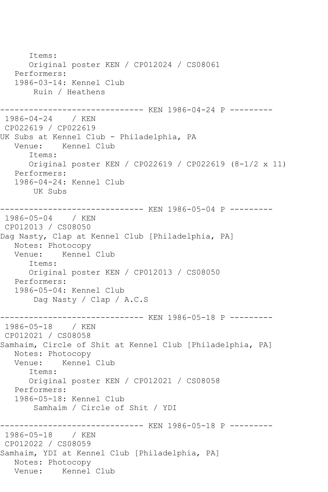Items: Original poster KEN / CP012024 / CS08061 Performers: 1986-03-14: Kennel Club Ruin / Heathens ------------------------------ KEN 1986-04-24 P --------- 1986-04-24 / KEN CP022619 / CP022619 UK Subs at Kennel Club - Philadelphia, PA<br>Venue: Kennel Club Kennel Club Items: Original poster KEN / CP022619 / CP022619 (8-1/2 x 11) Performers: 1986-04-24: Kennel Club UK Subs ------------------------------ KEN 1986-05-04 P --------- 1986-05-04 / KEN CP012013 / CS08050 Dag Nasty, Clap at Kennel Club [Philadelphia, PA] Notes: Photocopy Venue: Kennel Club Items: Original poster KEN / CP012013 / CS08050 Performers: 1986-05-04: Kennel Club Dag Nasty / Clap / A.C.S -------------------------------- KEN 1986-05-18 P ---------<br>1986-05-18 / KEN  $1986 - 05 - 18$ CP012021 / CS08058 Samhaim, Circle of Shit at Kennel Club [Philadelphia, PA] Notes: Photocopy Venue: Kennel Club Items: Original poster KEN / CP012021 / CS08058 Performers: 1986-05-18: Kennel Club Samhaim / Circle of Shit / YDI ------------------------------ KEN 1986-05-18 P --------- 1986-05-18 / KEN CP012022 / CS08059 Samhaim, YDI at Kennel Club [Philadelphia, PA] Notes: Photocopy Venue: Kennel Club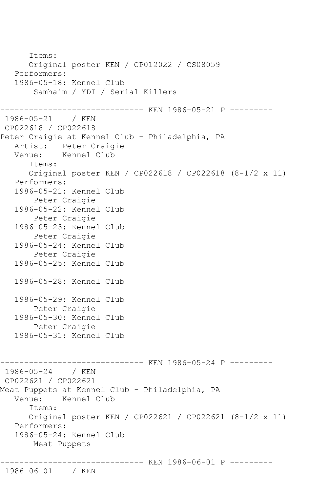```
 Items:
       Original poster KEN / CP012022 / CS08059
    Performers:
    1986-05-18: Kennel Club
        Samhaim / YDI / Serial Killers
------------------------------ KEN 1986-05-21 P ---------
1986-05-21 / KEN 
CP022618 / CP022618
Peter Craigie at Kennel Club - Philadelphia, PA
 Artist: Peter Craigie
 Venue: Kennel Club
       Items:
       Original poster KEN / CP022618 / CP022618 (8-1/2 x 11)
    Performers:
    1986-05-21: Kennel Club
        Peter Craigie
    1986-05-22: Kennel Club
        Peter Craigie
    1986-05-23: Kennel Club
        Peter Craigie
    1986-05-24: Kennel Club
        Peter Craigie
    1986-05-25: Kennel Club
    1986-05-28: Kennel Club
    1986-05-29: Kennel Club
        Peter Craigie
    1986-05-30: Kennel Club
        Peter Craigie
    1986-05-31: Kennel Club
                     ------------------------------ KEN 1986-05-24 P ---------
1986-05-24 / KEN 
CP022621 / CP022621
Meat Puppets at Kennel Club - Philadelphia, PA
   Venue: Kennel Club
       Items:
       Original poster KEN / CP022621 / CP022621 (8-1/2 x 11)
    Performers:
    1986-05-24: Kennel Club
        Meat Puppets
------------------------------ KEN 1986-06-01 P ---------
```
1986-06-01 / KEN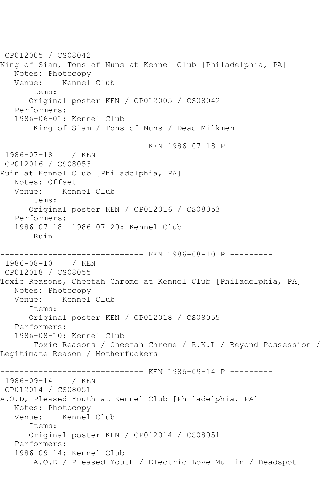CP012005 / CS08042 King of Siam, Tons of Nuns at Kennel Club [Philadelphia, PA] Notes: Photocopy Venue: Kennel Club Items: Original poster KEN / CP012005 / CS08042 Performers: 1986-06-01: Kennel Club King of Siam / Tons of Nuns / Dead Milkmen ------------------------------ KEN 1986-07-18 P --------- 1986-07-18 / KEN CP012016 / CS08053 Ruin at Kennel Club [Philadelphia, PA] Notes: Offset Venue: Kennel Club Items: Original poster KEN / CP012016 / CS08053 Performers: 1986-07-18 1986-07-20: Kennel Club Ruin ------------------------------ KEN 1986-08-10 P --------- 1986-08-10 / KEN CP012018 / CS08055 Toxic Reasons, Cheetah Chrome at Kennel Club [Philadelphia, PA] Notes: Photocopy Venue: Kennel Club Items: Original poster KEN / CP012018 / CS08055 Performers: 1986-08-10: Kennel Club Toxic Reasons / Cheetah Chrome / R.K.L / Beyond Possession / Legitimate Reason / Motherfuckers ------------------------------ KEN 1986-09-14 P --------- 1986-09-14 / KEN CP012014 / CS08051 A.O.D, Pleased Youth at Kennel Club [Philadelphia, PA] Notes: Photocopy Venue: Kennel Club Items: Original poster KEN / CP012014 / CS08051 Performers: 1986-09-14: Kennel Club A.O.D / Pleased Youth / Electric Love Muffin / Deadspot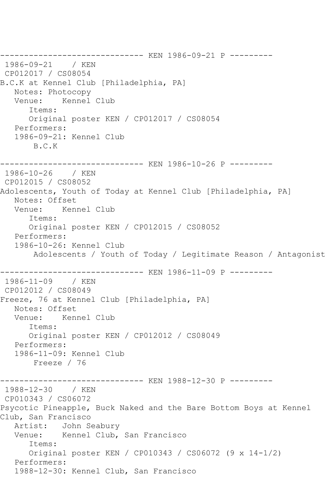------------------------------ KEN 1986-09-21 P --------- 1986-09-21 / KEN CP012017 / CS08054 B.C.K at Kennel Club [Philadelphia, PA] Notes: Photocopy Venue: Kennel Club Items: Original poster KEN / CP012017 / CS08054 Performers: 1986-09-21: Kennel Club B.C.K ------------------------------ KEN 1986-10-26 P --------- 1986-10-26 / KEN CP012015 / CS08052 Adolescents, Youth of Today at Kennel Club [Philadelphia, PA] Notes: Offset<br>Venue: Ken Kennel Club Items: Original poster KEN / CP012015 / CS08052 Performers: 1986-10-26: Kennel Club Adolescents / Youth of Today / Legitimate Reason / Antagonist ------------------------------ KEN 1986-11-09 P ---------  $1986 - 11 - 09$ CP012012 / CS08049 Freeze, 76 at Kennel Club [Philadelphia, PA] Notes: Offset Venue: Kennel Club Items: Original poster KEN / CP012012 / CS08049 Performers: 1986-11-09: Kennel Club Freeze / 76 ------------------------------ KEN 1988-12-30 P --------- 1988-12-30 / KEN CP010343 / CS06072 Psycotic Pineapple, Buck Naked and the Bare Bottom Boys at Kennel Club, San Francisco Artist: John Seabury Venue: Kennel Club, San Francisco Items: Original poster KEN / CP010343 / CS06072 (9 x 14-1/2) Performers: 1988-12-30: Kennel Club, San Francisco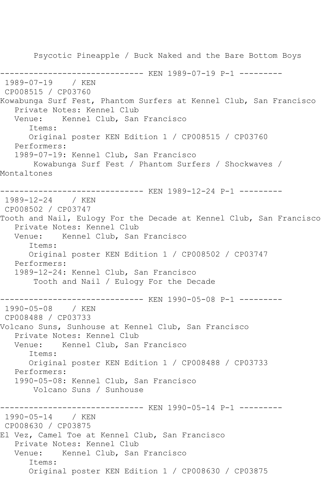Psycotic Pineapple / Buck Naked and the Bare Bottom Boys --------------------- KEN 1989-07-19 P-1 ---------1989-07-19 / KEN CP008515 / CP03760 Kowabunga Surf Fest, Phantom Surfers at Kennel Club, San Francisco Private Notes: Kennel Club Venue: Kennel Club, San Francisco Items: Original poster KEN Edition 1 / CP008515 / CP03760 Performers: 1989-07-19: Kennel Club, San Francisco Kowabunga Surf Fest / Phantom Surfers / Shockwaves / Montaltones ------------------------------ KEN 1989-12-24 P-1 --------- 1989-12-24 / KEN CP008502 / CP03747 Tooth and Nail, Eulogy For the Decade at Kennel Club, San Francisco Private Notes: Kennel Club Venue: Kennel Club, San Francisco Items: Original poster KEN Edition 1 / CP008502 / CP03747 Performers: 1989-12-24: Kennel Club, San Francisco Tooth and Nail / Eulogy For the Decade ------------------------------ KEN 1990-05-08 P-1 ---------  $1990 - 05 - 08$ CP008488 / CP03733 Volcano Suns, Sunhouse at Kennel Club, San Francisco Private Notes: Kennel Club Venue: Kennel Club, San Francisco Items: Original poster KEN Edition 1 / CP008488 / CP03733 Performers: 1990-05-08: Kennel Club, San Francisco Volcano Suns / Sunhouse ------------------------------ KEN 1990-05-14 P-1 --------- 1990-05-14 / KEN CP008630 / CP03875 El Vez, Camel Toe at Kennel Club, San Francisco Private Notes: Kennel Club Venue: Kennel Club, San Francisco Items: Original poster KEN Edition 1 / CP008630 / CP03875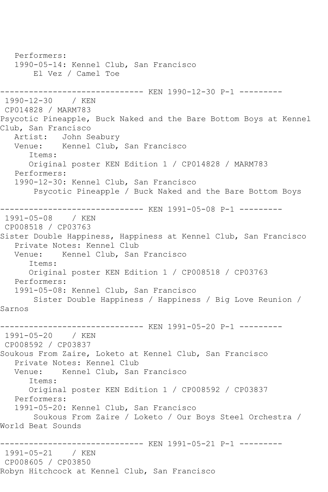Performers: 1990-05-14: Kennel Club, San Francisco El Vez / Camel Toe ------------------------------ KEN 1990-12-30 P-1 --------- 1990-12-30 / KEN CP014828 / MARM783 Psycotic Pineapple, Buck Naked and the Bare Bottom Boys at Kennel Club, San Francisco Artist: John Seabury<br>Venue: Kennel Club. Kennel Club, San Francisco Items: Original poster KEN Edition 1 / CP014828 / MARM783 Performers: 1990-12-30: Kennel Club, San Francisco Psycotic Pineapple / Buck Naked and the Bare Bottom Boys ------------------------------ KEN 1991-05-08 P-1 --------- 1991-05-08 / KEN CP008518 / CP03763 Sister Double Happiness, Happiness at Kennel Club, San Francisco Private Notes: Kennel Club Venue: Kennel Club, San Francisco Items: Original poster KEN Edition 1 / CP008518 / CP03763 Performers: 1991-05-08: Kennel Club, San Francisco Sister Double Happiness / Happiness / Big Love Reunion / Sarnos ------------------------------ KEN 1991-05-20 P-1 --------- 1991-05-20 / KEN CP008592 / CP03837 Soukous From Zaire, Loketo at Kennel Club, San Francisco Private Notes: Kennel Club Venue: Kennel Club, San Francisco Items: Original poster KEN Edition 1 / CP008592 / CP03837 Performers: 1991-05-20: Kennel Club, San Francisco Soukous From Zaire / Loketo / Our Boys Steel Orchestra / World Beat Sounds ------------------------------ KEN 1991-05-21 P-1 --------- 1991-05-21 / KEN CP008605 / CP03850 Robyn Hitchcock at Kennel Club, San Francisco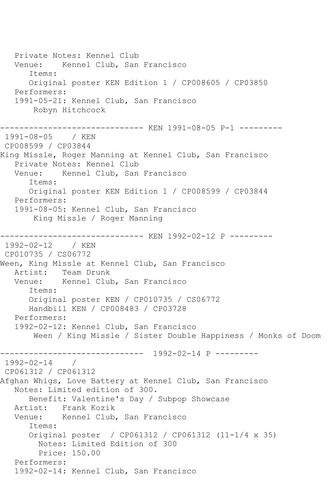Private Notes: Kennel Club Venue: Kennel Club, San Francisco Items: Original poster KEN Edition 1 / CP008605 / CP03850 Performers: 1991-05-21: Kennel Club, San Francisco Robyn Hitchcock ------------------------------ KEN 1991-08-05 P-1 --------- 1991-08-05 / KEN CP008599 / CP03844 King Missle, Roger Manning at Kennel Club, San Francisco Private Notes: Kennel Club<br>Venue: Kennel Club, San Kennel Club, San Francisco Items: Original poster KEN Edition 1 / CP008599 / CP03844 Performers: 1991-08-05: Kennel Club, San Francisco King Missle / Roger Manning ------------------------------ KEN 1992-02-12 P --------- 1992-02-12 / KEN CP010735 / CS06772 Ween, King Missle at Kennel Club, San Francisco Artist: Team Drunk<br>Venue: Kennel Clul Kennel Club, San Francisco Items: Original poster KEN / CP010735 / CS06772 Handbill KEN / CP008483 / CP03728 Performers: 1992-02-12: Kennel Club, San Francisco Ween / King Missle / Sister Double Happiness / Monks of Doom ------------------------------ 1992-02-14 P --------- 1992-02-14 / CP061312 / CP061312 Afghan Whigs, Love Battery at Kennel Club, San Francisco Notes: Limited edition of 300. Benefit: Valentine's Day / Subpop Showcase Artist: Frank Kozik Venue: Kennel Club, San Francisco Items: Original poster / CP061312 / CP061312 (11-1/4 x 35) Notes: Limited Edition of 300 Price: 150.00 Performers: 1992-02-14: Kennel Club, San Francisco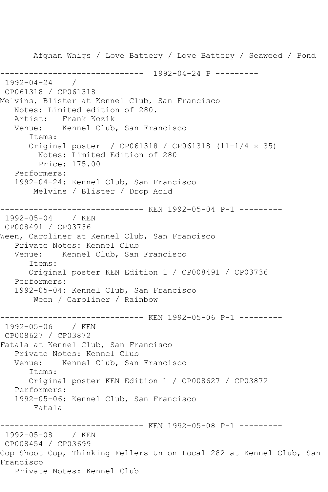Afghan Whigs / Love Battery / Love Battery / Seaweed / Pond ------------------------------ 1992-04-24 P --------- 1992-04-24 / CP061318 / CP061318 Melvins, Blister at Kennel Club, San Francisco Notes: Limited edition of 280. Artist: Frank Kozik Venue: Kennel Club, San Francisco Items: Original poster / CP061318 / CP061318 (11-1/4 x 35) Notes: Limited Edition of 280 Price: 175.00 Performers: 1992-04-24: Kennel Club, San Francisco Melvins / Blister / Drop Acid ------------------------------ KEN 1992-05-04 P-1 --------- 1992-05-04 / KEN CP008491 / CP03736 Ween, Caroliner at Kennel Club, San Francisco Private Notes: Kennel Club Venue: Kennel Club, San Francisco Items: Original poster KEN Edition 1 / CP008491 / CP03736 Performers: 1992-05-04: Kennel Club, San Francisco Ween / Caroliner / Rainbow ------------------------------ KEN 1992-05-06 P-1 --------- 1992-05-06 / KEN CP008627 / CP03872 Fatala at Kennel Club, San Francisco Private Notes: Kennel Club Venue: Kennel Club, San Francisco Items: Original poster KEN Edition 1 / CP008627 / CP03872 Performers: 1992-05-06: Kennel Club, San Francisco Fatala ------------------------------ KEN 1992-05-08 P-1 --------- 1992-05-08 / KEN CP008454 / CP03699 Cop Shoot Cop, Thinking Fellers Union Local 282 at Kennel Club, San Francisco Private Notes: Kennel Club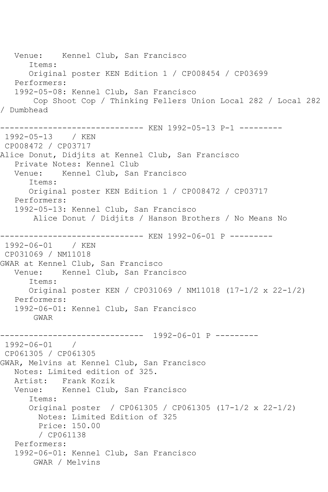Venue: Kennel Club, San Francisco Items: Original poster KEN Edition 1 / CP008454 / CP03699 Performers: 1992-05-08: Kennel Club, San Francisco Cop Shoot Cop / Thinking Fellers Union Local 282 / Local 282 / Dumbhead ------------------------------ KEN 1992-05-13 P-1 --------- 1992-05-13 / KEN CP008472 / CP03717 Alice Donut, Didjits at Kennel Club, San Francisco Private Notes: Kennel Club<br>Venue: Kennel Club, San Kennel Club, San Francisco Items: Original poster KEN Edition 1 / CP008472 / CP03717 Performers: 1992-05-13: Kennel Club, San Francisco Alice Donut / Didjits / Hanson Brothers / No Means No ------------------------------ KEN 1992-06-01 P --------- 1992-06-01 / KEN CP031069 / NM11018 GWAR at Kennel Club, San Francisco Venue: Kennel Club, San Francisco Items: Original poster KEN / CP031069 / NM11018 (17-1/2 x 22-1/2) Performers: 1992-06-01: Kennel Club, San Francisco GWAR ------------------------------ 1992-06-01 P --------- 1992-06-01 / CP061305 / CP061305 GWAR, Melvins at Kennel Club, San Francisco Notes: Limited edition of 325. Artist: Frank Kozik Venue: Kennel Club, San Francisco Items: Original poster / CP061305 / CP061305 (17-1/2 x 22-1/2) Notes: Limited Edition of 325 Price: 150.00 / CP061138 Performers: 1992-06-01: Kennel Club, San Francisco GWAR / Melvins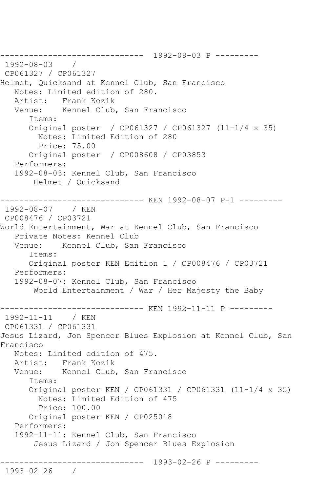------------------------------ 1992-08-03 P --------- 1992-08-03 / CP061327 / CP061327 Helmet, Quicksand at Kennel Club, San Francisco Notes: Limited edition of 280. Artist: Frank Kozik Venue: Kennel Club, San Francisco Items: Original poster / CP061327 / CP061327 (11-1/4 x 35) Notes: Limited Edition of 280 Price: 75.00 Original poster / CP008608 / CP03853 Performers: 1992-08-03: Kennel Club, San Francisco Helmet / Quicksand ------------------------------ KEN 1992-08-07 P-1 --------- 1992-08-07 / KEN CP008476 / CP03721 World Entertainment, War at Kennel Club, San Francisco Private Notes: Kennel Club Venue: Kennel Club, San Francisco Items: Original poster KEN Edition 1 / CP008476 / CP03721 Performers: 1992-08-07: Kennel Club, San Francisco World Entertainment / War / Her Majesty the Baby ------------------------------ KEN 1992-11-11 P --------- 1992-11-11 / KEN CP061331 / CP061331 Jesus Lizard, Jon Spencer Blues Explosion at Kennel Club, San Francisco Notes: Limited edition of 475. Artist: Frank Kozik Venue: Kennel Club, San Francisco Items: Original poster KEN / CP061331 / CP061331 (11-1/4 x 35) Notes: Limited Edition of 475 Price: 100.00 Original poster KEN / CP025018 Performers: 1992-11-11: Kennel Club, San Francisco Jesus Lizard / Jon Spencer Blues Explosion ------------------------------ 1993-02-26 P --------- 1993-02-26 /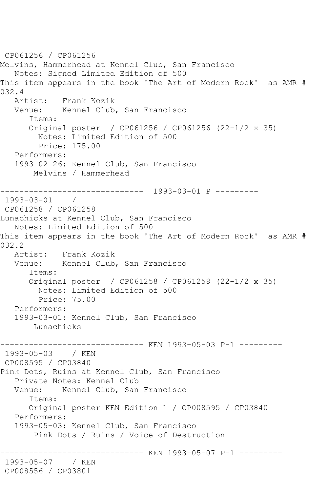CP061256 / CP061256 Melvins, Hammerhead at Kennel Club, San Francisco Notes: Signed Limited Edition of 500 This item appears in the book 'The Art of Modern Rock' as AMR #  $032.4$ <br>Artist: Frank Kozik Venue: Kennel Club, San Francisco Items: Original poster / CP061256 / CP061256 (22-1/2 x 35) Notes: Limited Edition of 500 Price: 175.00 Performers: 1993-02-26: Kennel Club, San Francisco Melvins / Hammerhead ------------------------------ 1993-03-01 P --------- 1993-03-01 / CP061258 / CP061258 Lunachicks at Kennel Club, San Francisco Notes: Limited Edition of 500 This item appears in the book 'The Art of Modern Rock' as AMR # 032.2 Artist: Frank Kozik Venue: Kennel Club, San Francisco Items: Original poster / CP061258 / CP061258 (22-1/2 x 35) Notes: Limited Edition of 500 Price: 75.00 Performers: 1993-03-01: Kennel Club, San Francisco Lunachicks ------------------------------ KEN 1993-05-03 P-1 --------- 1993-05-03 / KEN CP008595 / CP03840 Pink Dots, Ruins at Kennel Club, San Francisco Private Notes: Kennel Club Venue: Kennel Club, San Francisco Items: Original poster KEN Edition 1 / CP008595 / CP03840 Performers: 1993-05-03: Kennel Club, San Francisco Pink Dots / Ruins / Voice of Destruction ------------------------------ KEN 1993-05-07 P-1 --------- 1993-05-07 / KEN CP008556 / CP03801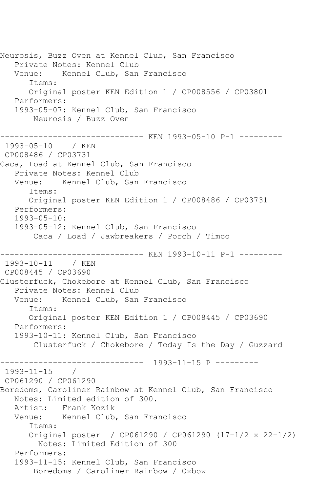Neurosis, Buzz Oven at Kennel Club, San Francisco Private Notes: Kennel Club Venue: Kennel Club, San Francisco Items: Original poster KEN Edition 1 / CP008556 / CP03801 Performers: 1993-05-07: Kennel Club, San Francisco Neurosis / Buzz Oven ------------------------------ KEN 1993-05-10 P-1 --------- 1993-05-10 / KEN CP008486 / CP03731 Caca, Load at Kennel Club, San Francisco Private Notes: Kennel Club Venue: Kennel Club, San Francisco Items: Original poster KEN Edition 1 / CP008486 / CP03731 Performers: 1993-05-10: 1993-05-12: Kennel Club, San Francisco Caca / Load / Jawbreakers / Porch / Timco ------------------------------ KEN 1993-10-11 P-1 --------- 1993-10-11 / KEN CP008445 / CP03690 Clusterfuck, Chokebore at Kennel Club, San Francisco Private Notes: Kennel Club Venue: Kennel Club, San Francisco Items: Original poster KEN Edition 1 / CP008445 / CP03690 Performers: 1993-10-11: Kennel Club, San Francisco Clusterfuck / Chokebore / Today Is the Day / Guzzard ------------------------------ 1993-11-15 P --------- 1993-11-15 / CP061290 / CP061290 Boredoms, Caroliner Rainbow at Kennel Club, San Francisco Notes: Limited edition of 300. Artist: Frank Kozik Venue: Kennel Club, San Francisco Items: Original poster / CP061290 / CP061290 (17-1/2 x 22-1/2) Notes: Limited Edition of 300 Performers: 1993-11-15: Kennel Club, San Francisco Boredoms / Caroliner Rainbow / Oxbow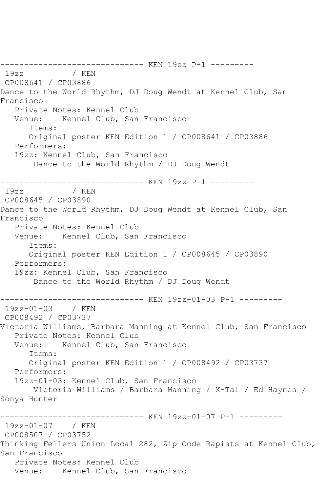------------------------------ KEN 19zz P-1 --------- 19zz / KEN CP008641 / CP03886 Dance to the World Rhythm, DJ Doug Wendt at Kennel Club, San Francisco Private Notes: Kennel Club Venue: Kennel Club, San Francisco Items: Original poster KEN Edition 1 / CP008641 / CP03886 Performers: 19zz: Kennel Club, San Francisco Dance to the World Rhythm / DJ Doug Wendt ------------------------------ KEN 19zz P-1 --------- 19zz / KEN CP008645 / CP03890 Dance to the World Rhythm, DJ Doug Wendt at Kennel Club, San Francisco Private Notes: Kennel Club Venue: Kennel Club, San Francisco Items: Original poster KEN Edition 1 / CP008645 / CP03890 Performers: 19zz: Kennel Club, San Francisco Dance to the World Rhythm / DJ Doug Wendt ------------------------------ KEN 19zz-01-03 P-1 ---------  $19zz - 01 - 03$ CP008492 / CP03737 Victoria Williams, Barbara Manning at Kennel Club, San Francisco Private Notes: Kennel Club Venue: Kennel Club, San Francisco Items: Original poster KEN Edition 1 / CP008492 / CP03737 Performers: 19zz-01-03: Kennel Club, San Francisco Victoria Williams / Barbara Manning / X-Tal / Ed Haynes / Sonya Hunter ------------------------------ KEN 19zz-01-07 P-1 --------- 19zz-01-07 / KEN CP008507 / CP03752 Thinking Fellers Union Local 282, Zip Code Rapists at Kennel Club, San Francisco Private Notes: Kennel Club Venue: Kennel Club, San Francisco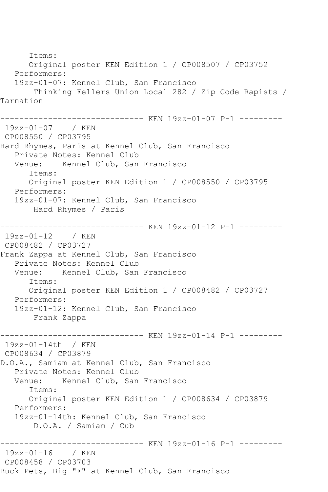Items: Original poster KEN Edition 1 / CP008507 / CP03752 Performers: 19zz-01-07: Kennel Club, San Francisco Thinking Fellers Union Local 282 / Zip Code Rapists / Tarnation ------------------------------ KEN 19zz-01-07 P-1 --------- 19zz-01-07 / KEN CP008550 / CP03795 Hard Rhymes, Paris at Kennel Club, San Francisco Private Notes: Kennel Club Venue: Kennel Club, San Francisco Items: Original poster KEN Edition 1 / CP008550 / CP03795 Performers: 19zz-01-07: Kennel Club, San Francisco Hard Rhymes / Paris ------------------------------ KEN 19zz-01-12 P-1 --------- 19zz-01-12 / KEN CP008482 / CP03727 Frank Zappa at Kennel Club, San Francisco Private Notes: Kennel Club<br>Venue: Kennel Club, San Kennel Club, San Francisco Items: Original poster KEN Edition 1 / CP008482 / CP03727 Performers: 19zz-01-12: Kennel Club, San Francisco Frank Zappa ------------------------------ KEN 19zz-01-14 P-1 --------- 19zz-01-14th / KEN CP008634 / CP03879 D.O.A., Samiam at Kennel Club, San Francisco Private Notes: Kennel Club Venue: Kennel Club, San Francisco Items: Original poster KEN Edition 1 / CP008634 / CP03879 Performers: 19zz-01-14th: Kennel Club, San Francisco D.O.A. / Samiam / Cub ------------------------------ KEN 19zz-01-16 P-1 --------- 19zz-01-16 / KEN CP008458 / CP03703 Buck Pets, Big "F" at Kennel Club, San Francisco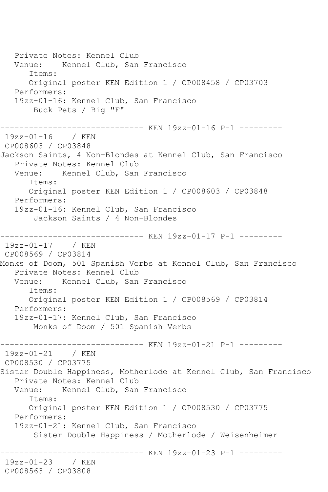Private Notes: Kennel Club Venue: Kennel Club, San Francisco Items: Original poster KEN Edition 1 / CP008458 / CP03703 Performers: 19zz-01-16: Kennel Club, San Francisco Buck Pets / Big "F" ------------------------------ KEN 19zz-01-16 P-1 --------- 19zz-01-16 / KEN CP008603 / CP03848 Jackson Saints, 4 Non-Blondes at Kennel Club, San Francisco Private Notes: Kennel Club Venue: Kennel Club, San Francisco Items: Original poster KEN Edition 1 / CP008603 / CP03848 Performers: 19zz-01-16: Kennel Club, San Francisco Jackson Saints / 4 Non-Blondes ------------------------------ KEN 19zz-01-17 P-1 --------- 19zz-01-17 / KEN CP008569 / CP03814 Monks of Doom, 501 Spanish Verbs at Kennel Club, San Francisco Private Notes: Kennel Club Venue: Kennel Club, San Francisco Items: Original poster KEN Edition 1 / CP008569 / CP03814 Performers: 19zz-01-17: Kennel Club, San Francisco Monks of Doom / 501 Spanish Verbs -------------------------------- KEN 19zz-01-21 P-1 ----------<br>19zz-01-21 / KEN  $19zz-01-21$ CP008530 / CP03775 Sister Double Happiness, Motherlode at Kennel Club, San Francisco Private Notes: Kennel Club Venue: Kennel Club, San Francisco Items: Original poster KEN Edition 1 / CP008530 / CP03775 Performers: 19zz-01-21: Kennel Club, San Francisco Sister Double Happiness / Motherlode / Weisenheimer -------------- KEN 19zz-01-23 P-1 ---------19zz-01-23 / KEN CP008563 / CP03808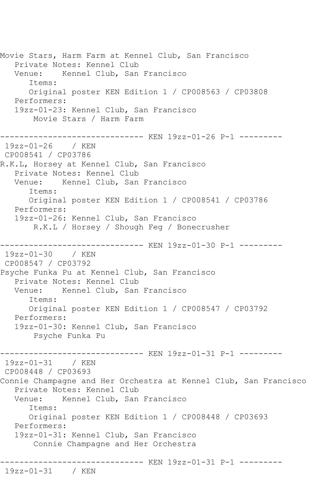Movie Stars, Harm Farm at Kennel Club, San Francisco Private Notes: Kennel Club Venue: Kennel Club, San Francisco Items: Original poster KEN Edition 1 / CP008563 / CP03808 Performers: 19zz-01-23: Kennel Club, San Francisco Movie Stars / Harm Farm ------------------------------ KEN 19zz-01-26 P-1 --------- 19zz-01-26 / KEN CP008541 / CP03786 R.K.L, Horsey at Kennel Club, San Francisco Private Notes: Kennel Club Venue: Kennel Club, San Francisco Items: Original poster KEN Edition 1 / CP008541 / CP03786 Performers: 19zz-01-26: Kennel Club, San Francisco R.K.L / Horsey / Shough Feg / Bonecrusher ------------------------------ KEN 19zz-01-30 P-1 --------- 19zz-01-30 / KEN CP008547 / CP03792 Psyche Funka Pu at Kennel Club, San Francisco Private Notes: Kennel Club<br>Venue: Kennel Club, San Kennel Club, San Francisco Items: Original poster KEN Edition 1 / CP008547 / CP03792 Performers: 19zz-01-30: Kennel Club, San Francisco Psyche Funka Pu ------------------------------ KEN 19zz-01-31 P-1 --------- 19zz-01-31 / KEN CP008448 / CP03693 Connie Champagne and Her Orchestra at Kennel Club, San Francisco Private Notes: Kennel Club Venue: Kennel Club, San Francisco Items: Original poster KEN Edition 1 / CP008448 / CP03693 Performers: 19zz-01-31: Kennel Club, San Francisco Connie Champagne and Her Orchestra ------------------------------ KEN 19zz-01-31 P-1 --------- 19zz-01-31 / KEN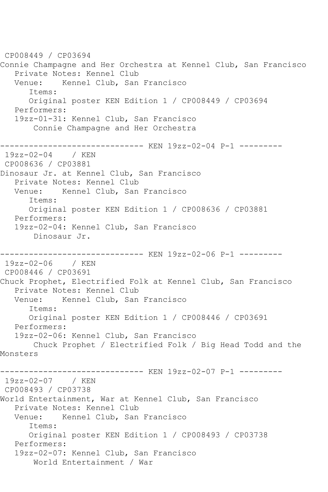CP008449 / CP03694 Connie Champagne and Her Orchestra at Kennel Club, San Francisco Private Notes: Kennel Club Venue: Kennel Club, San Francisco Items: Original poster KEN Edition 1 / CP008449 / CP03694 Performers: 19zz-01-31: Kennel Club, San Francisco Connie Champagne and Her Orchestra ------------------------------ KEN 19zz-02-04 P-1 --------- 19zz-02-04 / KEN CP008636 / CP03881 Dinosaur Jr. at Kennel Club, San Francisco Private Notes: Kennel Club Venue: Kennel Club, San Francisco Items: Original poster KEN Edition 1 / CP008636 / CP03881 Performers: 19zz-02-04: Kennel Club, San Francisco Dinosaur Jr. ------------------------------ KEN 19zz-02-06 P-1 --------- 19zz-02-06 / KEN CP008446 / CP03691 Chuck Prophet, Electrified Folk at Kennel Club, San Francisco Private Notes: Kennel Club Venue: Kennel Club, San Francisco Items: Original poster KEN Edition 1 / CP008446 / CP03691 Performers: 19zz-02-06: Kennel Club, San Francisco Chuck Prophet / Electrified Folk / Big Head Todd and the Monsters ------------------------------ KEN 19zz-02-07 P-1 --------- 19zz-02-07 / KEN CP008493 / CP03738 World Entertainment, War at Kennel Club, San Francisco Private Notes: Kennel Club Venue: Kennel Club, San Francisco Items: Original poster KEN Edition 1 / CP008493 / CP03738 Performers: 19zz-02-07: Kennel Club, San Francisco World Entertainment / War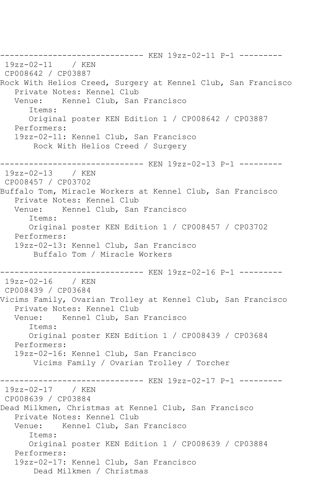------------------------------ KEN 19zz-02-11 P-1 --------- 19zz-02-11 / KEN CP008642 / CP03887 Rock With Helios Creed, Surgery at Kennel Club, San Francisco Private Notes: Kennel Club Venue: Kennel Club, San Francisco Items: Original poster KEN Edition 1 / CP008642 / CP03887 Performers: 19zz-02-11: Kennel Club, San Francisco Rock With Helios Creed / Surgery ------------------------------ KEN 19zz-02-13 P-1 --------- 19zz-02-13 / KEN CP008457 / CP03702 Buffalo Tom, Miracle Workers at Kennel Club, San Francisco Private Notes: Kennel Club Venue: Kennel Club, San Francisco Items: Original poster KEN Edition 1 / CP008457 / CP03702 Performers: 19zz-02-13: Kennel Club, San Francisco Buffalo Tom / Miracle Workers ----------------- KEN 19zz-02-16 P-1 ---------19zz-02-16 / KEN CP008439 / CP03684 Vicims Family, Ovarian Trolley at Kennel Club, San Francisco Private Notes: Kennel Club Venue: Kennel Club, San Francisco Items: Original poster KEN Edition 1 / CP008439 / CP03684 Performers: 19zz-02-16: Kennel Club, San Francisco Vicims Family / Ovarian Trolley / Torcher ------------------------------ KEN 19zz-02-17 P-1 --------- 19zz-02-17 / KEN CP008639 / CP03884 Dead Milkmen, Christmas at Kennel Club, San Francisco Private Notes: Kennel Club Venue: Kennel Club, San Francisco Items: Original poster KEN Edition 1 / CP008639 / CP03884 Performers: 19zz-02-17: Kennel Club, San Francisco Dead Milkmen / Christmas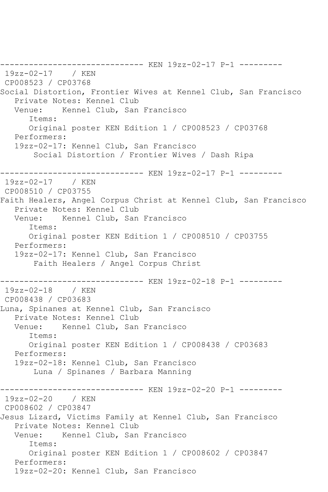------------------------------ KEN 19zz-02-17 P-1 --------- 19zz-02-17 / KEN CP008523 / CP03768 Social Distortion, Frontier Wives at Kennel Club, San Francisco Private Notes: Kennel Club Venue: Kennel Club, San Francisco Items: Original poster KEN Edition 1 / CP008523 / CP03768 Performers: 19zz-02-17: Kennel Club, San Francisco Social Distortion / Frontier Wives / Dash Ripa ------------------------------ KEN 19zz-02-17 P-1 --------- 19zz-02-17 / KEN CP008510 / CP03755 Faith Healers, Angel Corpus Christ at Kennel Club, San Francisco Private Notes: Kennel Club<br>Venue: Kennel Club, San Kennel Club, San Francisco Items: Original poster KEN Edition 1 / CP008510 / CP03755 Performers: 19zz-02-17: Kennel Club, San Francisco Faith Healers / Angel Corpus Christ ------------------------------ KEN 19zz-02-18 P-1 --------- 19zz-02-18 / KEN CP008438 / CP03683 Luna, Spinanes at Kennel Club, San Francisco Private Notes: Kennel Club Venue: Kennel Club, San Francisco Items: Original poster KEN Edition 1 / CP008438 / CP03683 Performers: 19zz-02-18: Kennel Club, San Francisco Luna / Spinanes / Barbara Manning ----------- KEN 19zz-02-20 P-1 ---------19zz-02-20 / KEN CP008602 / CP03847 Jesus Lizard, Victims Family at Kennel Club, San Francisco Private Notes: Kennel Club<br>Venue: Kennel Club. San Kennel Club, San Francisco Items: Original poster KEN Edition 1 / CP008602 / CP03847 Performers: 19zz-02-20: Kennel Club, San Francisco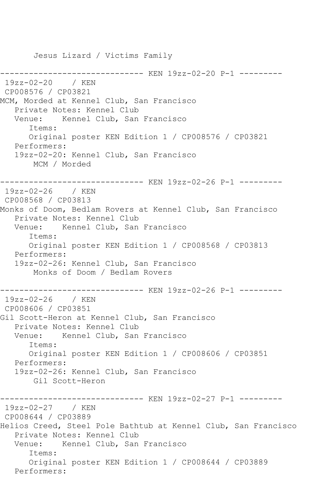Jesus Lizard / Victims Family ------------------ KEN 19zz-02-20 P-1 ---------19zz-02-20 / KEN CP008576 / CP03821 MCM, Morded at Kennel Club, San Francisco Private Notes: Kennel Club Venue: Kennel Club, San Francisco Items: Original poster KEN Edition 1 / CP008576 / CP03821 Performers: 19zz-02-20: Kennel Club, San Francisco MCM / Morded ------------------------------ KEN 19zz-02-26 P-1 --------- 19zz-02-26 / KEN CP008568 / CP03813 Monks of Doom, Bedlam Rovers at Kennel Club, San Francisco Private Notes: Kennel Club Venue: Kennel Club, San Francisco Items: Original poster KEN Edition 1 / CP008568 / CP03813 Performers: 19zz-02-26: Kennel Club, San Francisco Monks of Doom / Bedlam Rovers ------------------------------ KEN 19zz-02-26 P-1 --------- 19zz-02-26 / KEN CP008606 / CP03851 Gil Scott-Heron at Kennel Club, San Francisco Private Notes: Kennel Club Venue: Kennel Club, San Francisco Items: Original poster KEN Edition 1 / CP008606 / CP03851 Performers: 19zz-02-26: Kennel Club, San Francisco Gil Scott-Heron ------------------------------ KEN 19zz-02-27 P-1 --------- 19zz-02-27 / KEN CP008644 / CP03889 Helios Creed, Steel Pole Bathtub at Kennel Club, San Francisco Private Notes: Kennel Club Venue: Kennel Club, San Francisco Items: Original poster KEN Edition 1 / CP008644 / CP03889 Performers: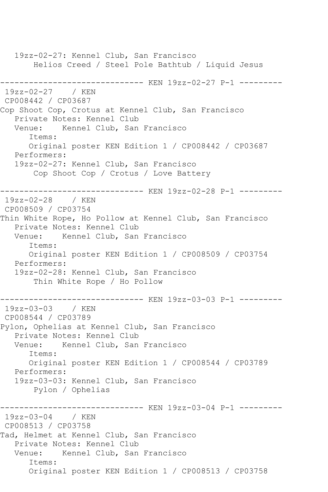19zz-02-27: Kennel Club, San Francisco Helios Creed / Steel Pole Bathtub / Liquid Jesus ------------------------------ KEN 19zz-02-27 P-1 --------- 19zz-02-27 / KEN CP008442 / CP03687 Cop Shoot Cop, Crotus at Kennel Club, San Francisco Private Notes: Kennel Club Venue: Kennel Club, San Francisco Items: Original poster KEN Edition 1 / CP008442 / CP03687 Performers: 19zz-02-27: Kennel Club, San Francisco Cop Shoot Cop / Crotus / Love Battery ------------------------------ KEN 19zz-02-28 P-1 --------- 19zz-02-28 / KEN CP008509 / CP03754 Thin White Rope, Ho Pollow at Kennel Club, San Francisco Private Notes: Kennel Club Venue: Kennel Club, San Francisco Items: Original poster KEN Edition 1 / CP008509 / CP03754 Performers: 19zz-02-28: Kennel Club, San Francisco Thin White Rope / Ho Pollow ------------------------------ KEN 19zz-03-03 P-1 ---------  $19zz-03-03$ CP008544 / CP03789 Pylon, Ophelias at Kennel Club, San Francisco Private Notes: Kennel Club Venue: Kennel Club, San Francisco Items: Original poster KEN Edition 1 / CP008544 / CP03789 Performers: 19zz-03-03: Kennel Club, San Francisco Pylon / Ophelias ------------------------------ KEN 19zz-03-04 P-1 --------- 19zz-03-04 / KEN CP008513 / CP03758 Tad, Helmet at Kennel Club, San Francisco Private Notes: Kennel Club Venue: Kennel Club, San Francisco Items: Original poster KEN Edition 1 / CP008513 / CP03758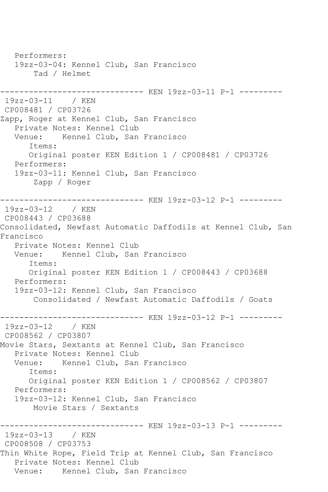Performers: 19zz-03-04: Kennel Club, San Francisco Tad / Helmet ------------------------------ KEN 19zz-03-11 P-1 --------- 19zz-03-11 / KEN CP008481 / CP03726 Zapp, Roger at Kennel Club, San Francisco Private Notes: Kennel Club Venue: Kennel Club, San Francisco Items: Original poster KEN Edition 1 / CP008481 / CP03726 Performers: 19zz-03-11: Kennel Club, San Francisco Zapp / Roger ------------------------------ KEN 19zz-03-12 P-1 --------- 19zz-03-12 / KEN CP008443 / CP03688 Consolidated, Newfast Automatic Daffodils at Kennel Club, San Francisco Private Notes: Kennel Club Venue: Kennel Club, San Francisco Items: Original poster KEN Edition 1 / CP008443 / CP03688 Performers: 19zz-03-12: Kennel Club, San Francisco Consolidated / Newfast Automatic Daffodils / Goats ------------------------------ KEN 19zz-03-12 P-1 --------- 19zz-03-12 / KEN CP008562 / CP03807 Movie Stars, Sextants at Kennel Club, San Francisco Private Notes: Kennel Club Venue: Kennel Club, San Francisco Items: Original poster KEN Edition 1 / CP008562 / CP03807 Performers: 19zz-03-12: Kennel Club, San Francisco Movie Stars / Sextants ------------------------------ KEN 19zz-03-13 P-1 --------- 19zz-03-13 / KEN CP008508 / CP03753 Thin White Rope, Field Trip at Kennel Club, San Francisco Private Notes: Kennel Club Venue: Kennel Club, San Francisco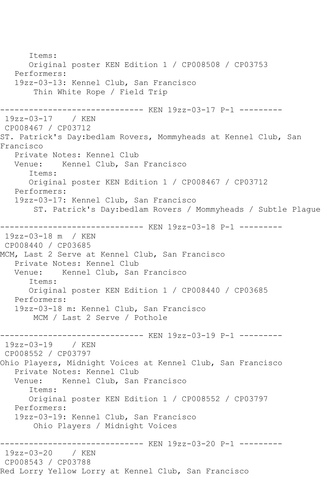Items: Original poster KEN Edition 1 / CP008508 / CP03753 Performers: 19zz-03-13: Kennel Club, San Francisco Thin White Rope / Field Trip ------------------------------ KEN 19zz-03-17 P-1 --------- 19zz-03-17 / KEN CP008467 / CP03712 ST. Patrick's Day:bedlam Rovers, Mommyheads at Kennel Club, San Francisco Private Notes: Kennel Club Venue: Kennel Club, San Francisco Items: Original poster KEN Edition 1 / CP008467 / CP03712 Performers: 19zz-03-17: Kennel Club, San Francisco ST. Patrick's Day:bedlam Rovers / Mommyheads / Subtle Plague ------------------------------ KEN 19zz-03-18 P-1 --------- 19zz-03-18 m / KEN CP008440 / CP03685 MCM, Last 2 Serve at Kennel Club, San Francisco Private Notes: Kennel Club Venue: Kennel Club, San Francisco Items: Original poster KEN Edition 1 / CP008440 / CP03685 Performers: 19zz-03-18 m: Kennel Club, San Francisco MCM / Last 2 Serve / Pothole ------------------------------ KEN 19zz-03-19 P-1 --------- 19zz-03-19 / KEN CP008552 / CP03797 Ohio Players, Midnight Voices at Kennel Club, San Francisco Private Notes: Kennel Club<br>Venue: Kennel Club, San Kennel Club, San Francisco Items: Original poster KEN Edition 1 / CP008552 / CP03797 Performers: 19zz-03-19: Kennel Club, San Francisco Ohio Players / Midnight Voices ------------ KEN 19zz-03-20 P-1 ---------19zz-03-20 / KEN CP008543 / CP03788 Red Lorry Yellow Lorry at Kennel Club, San Francisco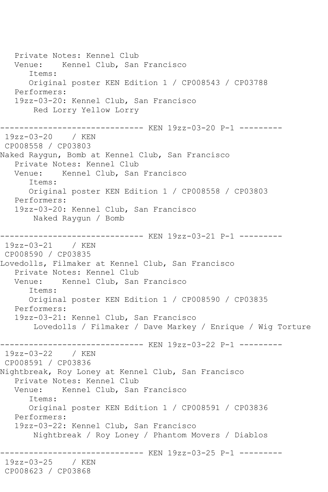Private Notes: Kennel Club Venue: Kennel Club, San Francisco Items: Original poster KEN Edition 1 / CP008543 / CP03788 Performers: 19zz-03-20: Kennel Club, San Francisco Red Lorry Yellow Lorry ------------------- KEN 19zz-03-20 P-1 ---------19zz-03-20 / KEN CP008558 / CP03803 Naked Raygun, Bomb at Kennel Club, San Francisco Private Notes: Kennel Club<br>Venue: Kennel Club, San Kennel Club, San Francisco Items: Original poster KEN Edition 1 / CP008558 / CP03803 Performers: 19zz-03-20: Kennel Club, San Francisco Naked Raygun / Bomb ------------------------------ KEN 19zz-03-21 P-1 --------- 19zz-03-21 / KEN CP008590 / CP03835 Lovedolls, Filmaker at Kennel Club, San Francisco Private Notes: Kennel Club Venue: Kennel Club, San Francisco Items: Original poster KEN Edition 1 / CP008590 / CP03835 Performers: 19zz-03-21: Kennel Club, San Francisco Lovedolls / Filmaker / Dave Markey / Enrique / Wig Torture ------------------------------ KEN 19zz-03-22 P-1 --------- 19zz-03-22 / KEN CP008591 / CP03836 Nightbreak, Roy Loney at Kennel Club, San Francisco Private Notes: Kennel Club Venue: Kennel Club, San Francisco Items: Original poster KEN Edition 1 / CP008591 / CP03836 Performers: 19zz-03-22: Kennel Club, San Francisco Nightbreak / Roy Loney / Phantom Movers / Diablos ------------- KEN 19zz-03-25 P-1 ---------19zz-03-25 / KEN CP008623 / CP03868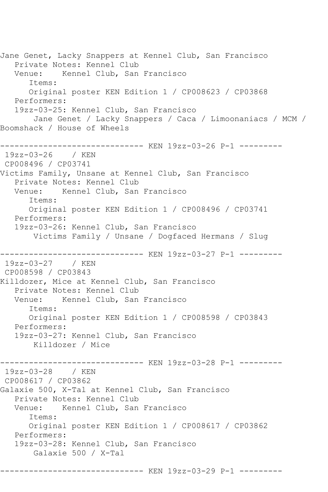Jane Genet, Lacky Snappers at Kennel Club, San Francisco Private Notes: Kennel Club Venue: Kennel Club, San Francisco Items: Original poster KEN Edition 1 / CP008623 / CP03868 Performers: 19zz-03-25: Kennel Club, San Francisco Jane Genet / Lacky Snappers / Caca / Limoonaniacs / MCM / Boomshack / House of Wheels ------------------------------ KEN 19zz-03-26 P-1 --------- 19zz-03-26 / KEN CP008496 / CP03741 Victims Family, Unsane at Kennel Club, San Francisco Private Notes: Kennel Club Venue: Kennel Club, San Francisco Items: Original poster KEN Edition 1 / CP008496 / CP03741 Performers: 19zz-03-26: Kennel Club, San Francisco Victims Family / Unsane / Dogfaced Hermans / Slug ------------------------------ KEN 19zz-03-27 P-1 --------- 19zz-03-27 / KEN CP008598 / CP03843 Killdozer, Mice at Kennel Club, San Francisco Private Notes: Kennel Club Venue: Kennel Club, San Francisco Items: Original poster KEN Edition 1 / CP008598 / CP03843 Performers: 19zz-03-27: Kennel Club, San Francisco Killdozer / Mice ----------- KEN 19zz-03-28 P-1 ---------19zz-03-28 / KEN CP008617 / CP03862 Galaxie 500, X-Tal at Kennel Club, San Francisco Private Notes: Kennel Club<br>Venue: Kennel Club, San Kennel Club, San Francisco Items: Original poster KEN Edition 1 / CP008617 / CP03862 Performers: 19zz-03-28: Kennel Club, San Francisco Galaxie 500 / X-Tal ------------------------------ KEN 19zz-03-29 P-1 ---------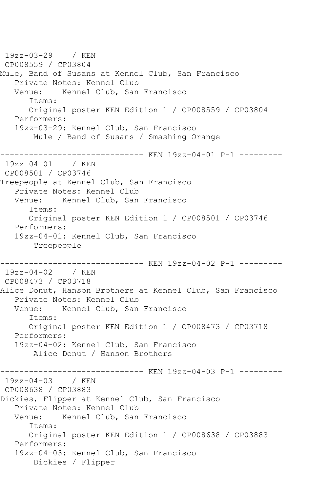19zz-03-29 / KEN CP008559 / CP03804 Mule, Band of Susans at Kennel Club, San Francisco Private Notes: Kennel Club<br>Venue: Kennel Club, San Kennel Club, San Francisco Items: Original poster KEN Edition 1 / CP008559 / CP03804 Performers: 19zz-03-29: Kennel Club, San Francisco Mule / Band of Susans / Smashing Orange ------------------------------ KEN 19zz-04-01 P-1 --------- 19zz-04-01 / KEN CP008501 / CP03746 Treepeople at Kennel Club, San Francisco Private Notes: Kennel Club Venue: Kennel Club, San Francisco Items: Original poster KEN Edition 1 / CP008501 / CP03746 Performers: 19zz-04-01: Kennel Club, San Francisco Treepeople ------------------------------ KEN 19zz-04-02 P-1 --------- 19zz-04-02 / KEN CP008473 / CP03718 Alice Donut, Hanson Brothers at Kennel Club, San Francisco Private Notes: Kennel Club Venue: Kennel Club, San Francisco Items: Original poster KEN Edition 1 / CP008473 / CP03718 Performers: 19zz-04-02: Kennel Club, San Francisco Alice Donut / Hanson Brothers ------------------------------ KEN 19zz-04-03 P-1 --------- 19zz-04-03 / KEN CP008638 / CP03883 Dickies, Flipper at Kennel Club, San Francisco Private Notes: Kennel Club Venue: Kennel Club, San Francisco Items: Original poster KEN Edition 1 / CP008638 / CP03883 Performers: 19zz-04-03: Kennel Club, San Francisco Dickies / Flipper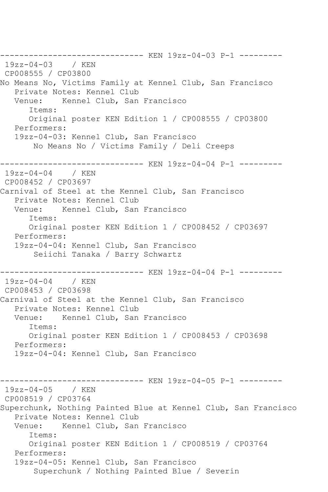------------------------------ KEN 19zz-04-03 P-1 --------- 19zz-04-03 / KEN CP008555 / CP03800 No Means No, Victims Family at Kennel Club, San Francisco Private Notes: Kennel Club Venue: Kennel Club, San Francisco Items: Original poster KEN Edition 1 / CP008555 / CP03800 Performers: 19zz-04-03: Kennel Club, San Francisco No Means No / Victims Family / Deli Creeps ------------------------------ KEN 19zz-04-04 P-1 --------- 19zz-04-04 / KEN CP008452 / CP03697 Carnival of Steel at the Kennel Club, San Francisco Private Notes: Kennel Club Venue: Kennel Club, San Francisco Items: Original poster KEN Edition 1 / CP008452 / CP03697 Performers: 19zz-04-04: Kennel Club, San Francisco Seiichi Tanaka / Barry Schwartz ------------------------------ KEN 19zz-04-04 P-1 --------- 19zz-04-04 / KEN CP008453 / CP03698 Carnival of Steel at the Kennel Club, San Francisco Private Notes: Kennel Club Venue: Kennel Club, San Francisco Items: Original poster KEN Edition 1 / CP008453 / CP03698 Performers: 19zz-04-04: Kennel Club, San Francisco ------------------------------ KEN 19zz-04-05 P-1 --------- 19zz-04-05 / KEN CP008519 / CP03764 Superchunk, Nothing Painted Blue at Kennel Club, San Francisco Private Notes: Kennel Club Venue: Kennel Club, San Francisco Items: Original poster KEN Edition 1 / CP008519 / CP03764 Performers: 19zz-04-05: Kennel Club, San Francisco Superchunk / Nothing Painted Blue / Severin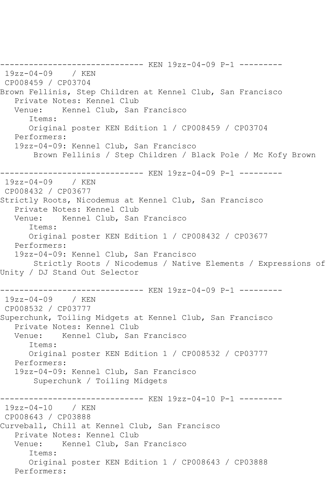------------------------------ KEN 19zz-04-09 P-1 --------- 19zz-04-09 / KEN CP008459 / CP03704 Brown Fellinis, Step Children at Kennel Club, San Francisco Private Notes: Kennel Club Venue: Kennel Club, San Francisco Items: Original poster KEN Edition 1 / CP008459 / CP03704 Performers: 19zz-04-09: Kennel Club, San Francisco Brown Fellinis / Step Children / Black Pole / Mc Kofy Brown ------------------------------ KEN 19zz-04-09 P-1 --------- 19zz-04-09 / KEN CP008432 / CP03677 Strictly Roots, Nicodemus at Kennel Club, San Francisco Private Notes: Kennel Club<br>Venue: Kennel Club, San Kennel Club, San Francisco Items: Original poster KEN Edition 1 / CP008432 / CP03677 Performers: 19zz-04-09: Kennel Club, San Francisco Strictly Roots / Nicodemus / Native Elements / Expressions of Unity / DJ Stand Out Selector ------------------------------ KEN 19zz-04-09 P-1 --------- 19zz-04-09 / KEN CP008532 / CP03777 Superchunk, Toiling Midgets at Kennel Club, San Francisco Private Notes: Kennel Club Venue: Kennel Club, San Francisco Items: Original poster KEN Edition 1 / CP008532 / CP03777 Performers: 19zz-04-09: Kennel Club, San Francisco Superchunk / Toiling Midgets ------------------------------ KEN 19zz-04-10 P-1 --------- 19zz-04-10 / KEN CP008643 / CP03888 Curveball, Chill at Kennel Club, San Francisco Private Notes: Kennel Club Venue: Kennel Club, San Francisco Items: Original poster KEN Edition 1 / CP008643 / CP03888 Performers: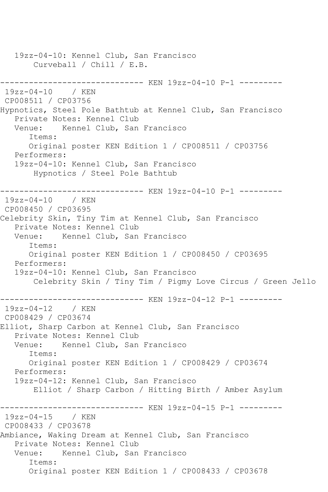19zz-04-10: Kennel Club, San Francisco Curveball / Chill / E.B. ------------------------------ KEN 19zz-04-10 P-1 --------- 19zz-04-10 / KEN CP008511 / CP03756 Hypnotics, Steel Pole Bathtub at Kennel Club, San Francisco Private Notes: Kennel Club Venue: Kennel Club, San Francisco Items: Original poster KEN Edition 1 / CP008511 / CP03756 Performers: 19zz-04-10: Kennel Club, San Francisco Hypnotics / Steel Pole Bathtub ----------- KEN 19zz-04-10 P-1 ---------19zz-04-10 / KEN CP008450 / CP03695 Celebrity Skin, Tiny Tim at Kennel Club, San Francisco Private Notes: Kennel Club Venue: Kennel Club, San Francisco Items: Original poster KEN Edition 1 / CP008450 / CP03695 Performers: 19zz-04-10: Kennel Club, San Francisco Celebrity Skin / Tiny Tim / Pigmy Love Circus / Green Jello ------------------------------ KEN 19zz-04-12 P-1 ---------  $19zz - 04 - 12$ CP008429 / CP03674 Elliot, Sharp Carbon at Kennel Club, San Francisco Private Notes: Kennel Club<br>Venue: Kennel Club, San Kennel Club, San Francisco Items: Original poster KEN Edition 1 / CP008429 / CP03674 Performers: 19zz-04-12: Kennel Club, San Francisco Elliot / Sharp Carbon / Hitting Birth / Amber Asylum ------------------------------ KEN 19zz-04-15 P-1 --------- 19zz-04-15 / KEN CP008433 / CP03678 Ambiance, Waking Dream at Kennel Club, San Francisco Private Notes: Kennel Club Venue: Kennel Club, San Francisco Items: Original poster KEN Edition 1 / CP008433 / CP03678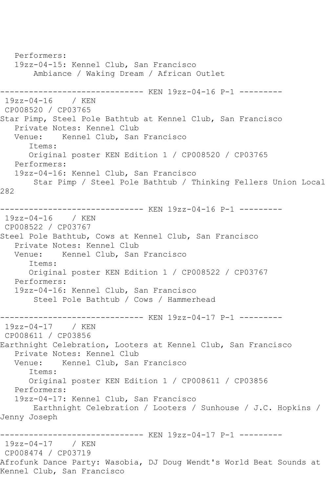Performers: 19zz-04-15: Kennel Club, San Francisco Ambiance / Waking Dream / African Outlet ------------------------------ KEN 19zz-04-16 P-1 --------- 19zz-04-16 / KEN CP008520 / CP03765 Star Pimp, Steel Pole Bathtub at Kennel Club, San Francisco Private Notes: Kennel Club Venue: Kennel Club, San Francisco Items: Original poster KEN Edition 1 / CP008520 / CP03765 Performers: 19zz-04-16: Kennel Club, San Francisco Star Pimp / Steel Pole Bathtub / Thinking Fellers Union Local 282 ------------------------------ KEN 19zz-04-16 P-1 --------- 19zz-04-16 / KEN CP008522 / CP03767 Steel Pole Bathtub, Cows at Kennel Club, San Francisco Private Notes: Kennel Club Venue: Kennel Club, San Francisco Items: Original poster KEN Edition 1 / CP008522 / CP03767 Performers: 19zz-04-16: Kennel Club, San Francisco Steel Pole Bathtub / Cows / Hammerhead ------------------------------ KEN 19zz-04-17 P-1 --------- 19zz-04-17 / KEN CP008611 / CP03856 Earthnight Celebration, Looters at Kennel Club, San Francisco Private Notes: Kennel Club Venue: Kennel Club, San Francisco Items: Original poster KEN Edition 1 / CP008611 / CP03856 Performers: 19zz-04-17: Kennel Club, San Francisco Earthnight Celebration / Looters / Sunhouse / J.C. Hopkins / Jenny Joseph ------------------------------ KEN 19zz-04-17 P-1 --------- 19zz-04-17 / KEN CP008474 / CP03719 Afrofunk Dance Party: Wasobia, DJ Doug Wendt's World Beat Sounds at Kennel Club, San Francisco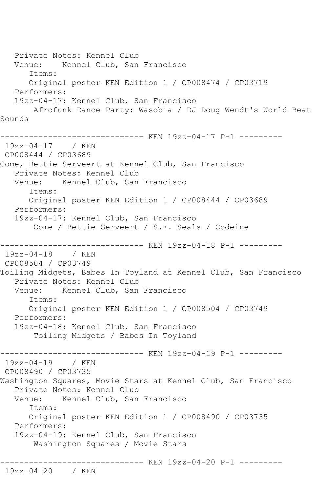Private Notes: Kennel Club Venue: Kennel Club, San Francisco Items: Original poster KEN Edition 1 / CP008474 / CP03719 Performers: 19zz-04-17: Kennel Club, San Francisco Afrofunk Dance Party: Wasobia / DJ Doug Wendt's World Beat Sounds ------------------------------ KEN 19zz-04-17 P-1 --------- 19zz-04-17 / KEN CP008444 / CP03689 Come, Bettie Serveert at Kennel Club, San Francisco Private Notes: Kennel Club Venue: Kennel Club, San Francisco Items: Original poster KEN Edition 1 / CP008444 / CP03689 Performers: 19zz-04-17: Kennel Club, San Francisco Come / Bettie Serveert / S.F. Seals / Codeine ----------- KEN 19zz-04-18 P-1 ---------19zz-04-18 / KEN CP008504 / CP03749 Toiling Midgets, Babes In Toyland at Kennel Club, San Francisco Private Notes: Kennel Club<br>Venue: Kennel Club, San Kennel Club, San Francisco Items: Original poster KEN Edition 1 / CP008504 / CP03749 Performers: 19zz-04-18: Kennel Club, San Francisco Toiling Midgets / Babes In Toyland ------------------------------ KEN 19zz-04-19 P-1 --------- 19zz-04-19 / KEN CP008490 / CP03735 Washington Squares, Movie Stars at Kennel Club, San Francisco Private Notes: Kennel Club Venue: Kennel Club, San Francisco Items: Original poster KEN Edition 1 / CP008490 / CP03735 Performers: 19zz-04-19: Kennel Club, San Francisco Washington Squares / Movie Stars ------------------------------ KEN 19zz-04-20 P-1 --------- 19zz-04-20 / KEN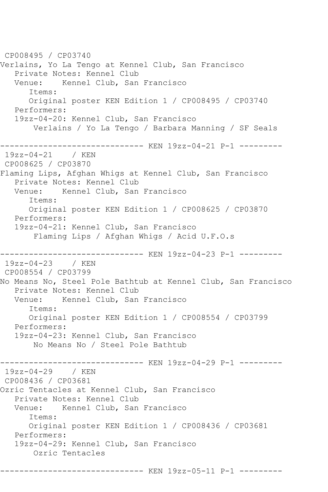CP008495 / CP03740 Verlains, Yo La Tengo at Kennel Club, San Francisco Private Notes: Kennel Club Venue: Kennel Club, San Francisco Items: Original poster KEN Edition 1 / CP008495 / CP03740 Performers: 19zz-04-20: Kennel Club, San Francisco Verlains / Yo La Tengo / Barbara Manning / SF Seals ------------------------------ KEN 19zz-04-21 P-1 --------- 19zz-04-21 / KEN CP008625 / CP03870 Flaming Lips, Afghan Whigs at Kennel Club, San Francisco Private Notes: Kennel Club Venue: Kennel Club, San Francisco Items: Original poster KEN Edition 1 / CP008625 / CP03870 Performers: 19zz-04-21: Kennel Club, San Francisco Flaming Lips / Afghan Whigs / Acid U.F.O.s ------------------------------ KEN 19zz-04-23 P-1 --------- 19zz-04-23 / KEN CP008554 / CP03799 No Means No, Steel Pole Bathtub at Kennel Club, San Francisco Private Notes: Kennel Club Venue: Kennel Club, San Francisco Items: Original poster KEN Edition 1 / CP008554 / CP03799 Performers: 19zz-04-23: Kennel Club, San Francisco No Means No / Steel Pole Bathtub ----------- KEN 19zz-04-29 P-1 ---------19zz-04-29 / KEN CP008436 / CP03681 Ozric Tentacles at Kennel Club, San Francisco Private Notes: Kennel Club<br>Venue: Kennel Club, San Kennel Club, San Francisco Items: Original poster KEN Edition 1 / CP008436 / CP03681 Performers: 19zz-04-29: Kennel Club, San Francisco Ozric Tentacles ------------------------------ KEN 19zz-05-11 P-1 ---------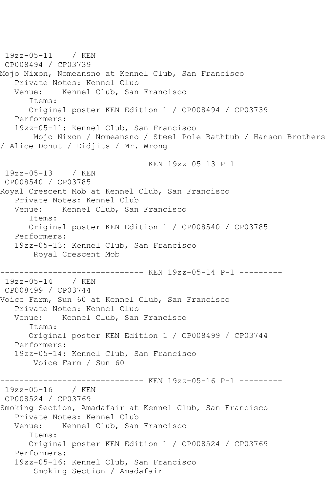19zz-05-11 / KEN CP008494 / CP03739 Mojo Nixon, Nomeansno at Kennel Club, San Francisco Private Notes: Kennel Club<br>Venue: Kennel Club, San Kennel Club, San Francisco Items: Original poster KEN Edition 1 / CP008494 / CP03739 Performers: 19zz-05-11: Kennel Club, San Francisco Mojo Nixon / Nomeansno / Steel Pole Bathtub / Hanson Brothers / Alice Donut / Didjits / Mr. Wrong ------------------------------ KEN 19zz-05-13 P-1 --------- 19zz-05-13 / KEN CP008540 / CP03785 Royal Crescent Mob at Kennel Club, San Francisco Private Notes: Kennel Club Venue: Kennel Club, San Francisco Items: Original poster KEN Edition 1 / CP008540 / CP03785 Performers: 19zz-05-13: Kennel Club, San Francisco Royal Crescent Mob ------------------------------ KEN 19zz-05-14 P-1 --------- 19zz-05-14 / KEN CP008499 / CP03744 Voice Farm, Sun 60 at Kennel Club, San Francisco Private Notes: Kennel Club Venue: Kennel Club, San Francisco Items: Original poster KEN Edition 1 / CP008499 / CP03744 Performers: 19zz-05-14: Kennel Club, San Francisco Voice Farm / Sun 60 ------------------------------ KEN 19zz-05-16 P-1 --------- 19zz-05-16 / KEN CP008524 / CP03769 Smoking Section, Amadafair at Kennel Club, San Francisco Private Notes: Kennel Club Venue: Kennel Club, San Francisco Items: Original poster KEN Edition 1 / CP008524 / CP03769 Performers: 19zz-05-16: Kennel Club, San Francisco Smoking Section / Amadafair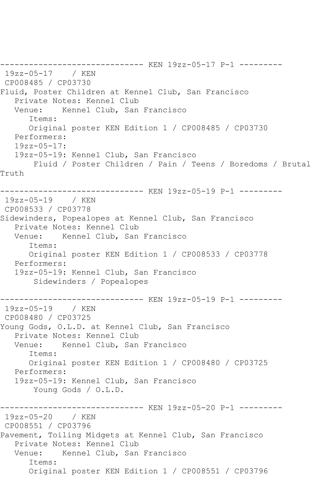------------------------------ KEN 19zz-05-17 P-1 --------- 19zz-05-17 / KEN CP008485 / CP03730 Fluid, Poster Children at Kennel Club, San Francisco Private Notes: Kennel Club Venue: Kennel Club, San Francisco Items: Original poster KEN Edition 1 / CP008485 / CP03730 Performers: 19zz-05-17: 19zz-05-19: Kennel Club, San Francisco Fluid / Poster Children / Pain / Teens / Boredoms / Brutal Truth ------------------------------ KEN 19zz-05-19 P-1 --------- 19zz-05-19 / KEN CP008533 / CP03778 Sidewinders, Popealopes at Kennel Club, San Francisco Private Notes: Kennel Club Venue: Kennel Club, San Francisco Items: Original poster KEN Edition 1 / CP008533 / CP03778 Performers: 19zz-05-19: Kennel Club, San Francisco Sidewinders / Popealopes ------------------------------ KEN 19zz-05-19 P-1 ---------  $19zz - 05 - 19$ CP008480 / CP03725 Young Gods, O.L.D. at Kennel Club, San Francisco Private Notes: Kennel Club Venue: Kennel Club, San Francisco Items: Original poster KEN Edition 1 / CP008480 / CP03725 Performers: 19zz-05-19: Kennel Club, San Francisco Young Gods / O.L.D. ------------------------------ KEN 19zz-05-20 P-1 --------- 19zz-05-20 / KEN CP008551 / CP03796 Pavement, Toiling Midgets at Kennel Club, San Francisco Private Notes: Kennel Club Venue: Kennel Club, San Francisco Items: Original poster KEN Edition 1 / CP008551 / CP03796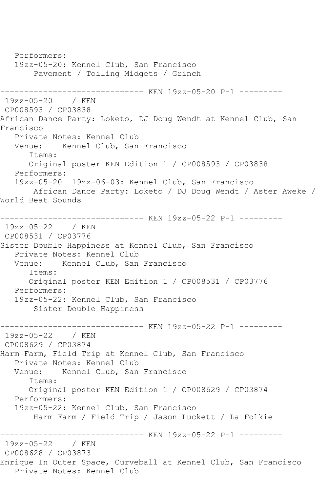Performers: 19zz-05-20: Kennel Club, San Francisco Pavement / Toiling Midgets / Grinch ------------------------------ KEN 19zz-05-20 P-1 --------- 19zz-05-20 / KEN CP008593 / CP03838 African Dance Party: Loketo, DJ Doug Wendt at Kennel Club, San Francisco Private Notes: Kennel Club Venue: Kennel Club, San Francisco Items: Original poster KEN Edition 1 / CP008593 / CP03838 Performers: 19zz-05-20 19zz-06-03: Kennel Club, San Francisco African Dance Party: Loketo / DJ Doug Wendt / Aster Aweke / World Beat Sounds ------------------------------ KEN 19zz-05-22 P-1 --------- 19zz-05-22 / KEN CP008531 / CP03776 Sister Double Happiness at Kennel Club, San Francisco Private Notes: Kennel Club<br>Venue: Kennel Club, San Kennel Club, San Francisco Items: Original poster KEN Edition 1 / CP008531 / CP03776 Performers: 19zz-05-22: Kennel Club, San Francisco Sister Double Happiness ------------------------------ KEN 19zz-05-22 P-1 --------- 19zz-05-22 / KEN CP008629 / CP03874 Harm Farm, Field Trip at Kennel Club, San Francisco Private Notes: Kennel Club Venue: Kennel Club, San Francisco Items: Original poster KEN Edition 1 / CP008629 / CP03874 Performers: 19zz-05-22: Kennel Club, San Francisco Harm Farm / Field Trip / Jason Luckett / La Folkie ------------------------------ KEN 19zz-05-22 P-1 --------- 19zz-05-22 / KEN CP008628 / CP03873 Enrique In Outer Space, Curveball at Kennel Club, San Francisco Private Notes: Kennel Club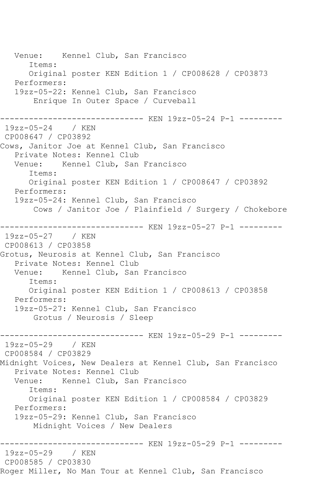Venue: Kennel Club, San Francisco Items: Original poster KEN Edition 1 / CP008628 / CP03873 Performers: 19zz-05-22: Kennel Club, San Francisco Enrique In Outer Space / Curveball ------------------------------ KEN 19zz-05-24 P-1 --------- 19zz-05-24 / KEN CP008647 / CP03892 Cows, Janitor Joe at Kennel Club, San Francisco Private Notes: Kennel Club Venue: Kennel Club, San Francisco Items: Original poster KEN Edition 1 / CP008647 / CP03892 Performers: 19zz-05-24: Kennel Club, San Francisco Cows / Janitor Joe / Plainfield / Surgery / Chokebore ------------------------------ KEN 19zz-05-27 P-1 --------- 19zz-05-27 / KEN CP008613 / CP03858 Grotus, Neurosis at Kennel Club, San Francisco Private Notes: Kennel Club<br>Venue: Kennel Club, San Kennel Club, San Francisco Items: Original poster KEN Edition 1 / CP008613 / CP03858 Performers: 19zz-05-27: Kennel Club, San Francisco Grotus / Neurosis / Sleep ------------------------------ KEN 19zz-05-29 P-1 --------- 19zz-05-29 / KEN CP008584 / CP03829 Midnight Voices, New Dealers at Kennel Club, San Francisco Private Notes: Kennel Club<br>Venue: Kennel Club, San Kennel Club, San Francisco Items: Original poster KEN Edition 1 / CP008584 / CP03829 Performers: 19zz-05-29: Kennel Club, San Francisco Midnight Voices / New Dealers ----------- KEN 19zz-05-29 P-1 ---------19zz-05-29 / KEN CP008585 / CP03830 Roger Miller, No Man Tour at Kennel Club, San Francisco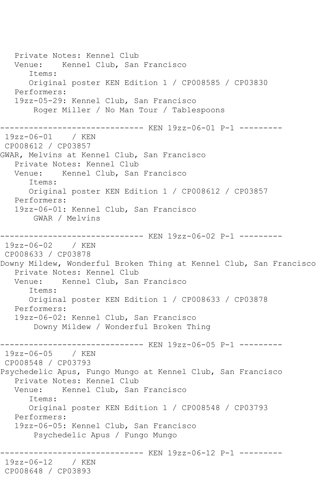Private Notes: Kennel Club Venue: Kennel Club, San Francisco Items: Original poster KEN Edition 1 / CP008585 / CP03830 Performers: 19zz-05-29: Kennel Club, San Francisco Roger Miller / No Man Tour / Tablespoons ------------------------------ KEN 19zz-06-01 P-1 --------- 19zz-06-01 / KEN CP008612 / CP03857 GWAR, Melvins at Kennel Club, San Francisco Private Notes: Kennel Club Venue: Kennel Club, San Francisco Items: Original poster KEN Edition 1 / CP008612 / CP03857 Performers: 19zz-06-01: Kennel Club, San Francisco GWAR / Melvins ------------------------------ KEN 19zz-06-02 P-1 --------- 19zz-06-02 / KEN CP008633 / CP03878 Downy Mildew, Wonderful Broken Thing at Kennel Club, San Francisco Private Notes: Kennel Club Venue: Kennel Club, San Francisco Items: Original poster KEN Edition 1 / CP008633 / CP03878 Performers: 19zz-06-02: Kennel Club, San Francisco Downy Mildew / Wonderful Broken Thing ------------------------------ KEN 19zz-06-05 P-1 --------- 19zz-06-05 / KEN CP008548 / CP03793 Psychedelic Apus, Fungo Mungo at Kennel Club, San Francisco Private Notes: Kennel Club Venue: Kennel Club, San Francisco Items: Original poster KEN Edition 1 / CP008548 / CP03793 Performers: 19zz-06-05: Kennel Club, San Francisco Psychedelic Apus / Fungo Mungo ------------------------------ KEN 19zz-06-12 P-1 --------- 19zz-06-12 / KEN CP008648 / CP03893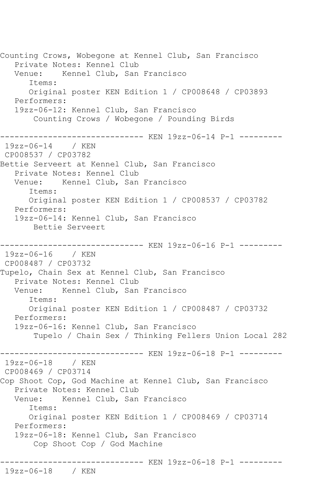Counting Crows, Wobegone at Kennel Club, San Francisco Private Notes: Kennel Club Venue: Kennel Club, San Francisco Items: Original poster KEN Edition 1 / CP008648 / CP03893 Performers: 19zz-06-12: Kennel Club, San Francisco Counting Crows / Wobegone / Pounding Birds ------------------------------ KEN 19zz-06-14 P-1 --------- 19zz-06-14 / KEN CP008537 / CP03782 Bettie Serveert at Kennel Club, San Francisco Private Notes: Kennel Club Venue: Kennel Club, San Francisco Items: Original poster KEN Edition 1 / CP008537 / CP03782 Performers: 19zz-06-14: Kennel Club, San Francisco Bettie Serveert ------------------------------ KEN 19zz-06-16 P-1 --------- 19zz-06-16 / KEN CP008487 / CP03732 Tupelo, Chain Sex at Kennel Club, San Francisco Private Notes: Kennel Club<br>Venue: Kennel Club, San Kennel Club, San Francisco Items: Original poster KEN Edition 1 / CP008487 / CP03732 Performers: 19zz-06-16: Kennel Club, San Francisco Tupelo / Chain Sex / Thinking Fellers Union Local 282 ------------------------------ KEN 19zz-06-18 P-1 --------- 19zz-06-18 / KEN CP008469 / CP03714 Cop Shoot Cop, God Machine at Kennel Club, San Francisco Private Notes: Kennel Club Venue: Kennel Club, San Francisco Items: Original poster KEN Edition 1 / CP008469 / CP03714 Performers: 19zz-06-18: Kennel Club, San Francisco Cop Shoot Cop / God Machine ------------------------------ KEN 19zz-06-18 P-1 --------- 19zz-06-18 / KEN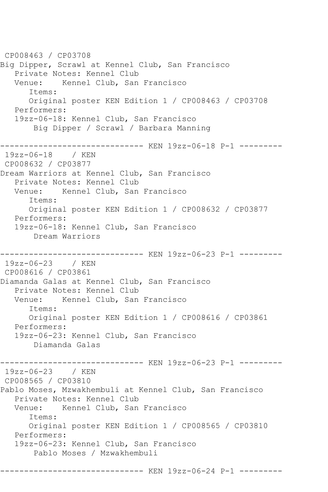CP008463 / CP03708 Big Dipper, Scrawl at Kennel Club, San Francisco Private Notes: Kennel Club Venue: Kennel Club, San Francisco Items: Original poster KEN Edition 1 / CP008463 / CP03708 Performers: 19zz-06-18: Kennel Club, San Francisco Big Dipper / Scrawl / Barbara Manning ------------------------------ KEN 19zz-06-18 P-1 --------- 19zz-06-18 / KEN CP008632 / CP03877 Dream Warriors at Kennel Club, San Francisco Private Notes: Kennel Club Venue: Kennel Club, San Francisco Items: Original poster KEN Edition 1 / CP008632 / CP03877 Performers: 19zz-06-18: Kennel Club, San Francisco Dream Warriors ------------------------------ KEN 19zz-06-23 P-1 --------- 19zz-06-23 / KEN CP008616 / CP03861 Diamanda Galas at Kennel Club, San Francisco Private Notes: Kennel Club Venue: Kennel Club, San Francisco Items: Original poster KEN Edition 1 / CP008616 / CP03861 Performers: 19zz-06-23: Kennel Club, San Francisco Diamanda Galas ------------------------------ KEN 19zz-06-23 P-1 --------- 19zz-06-23 / KEN CP008565 / CP03810 Pablo Moses, Mzwakhembuli at Kennel Club, San Francisco Private Notes: Kennel Club Venue: Kennel Club, San Francisco Items: Original poster KEN Edition 1 / CP008565 / CP03810 Performers: 19zz-06-23: Kennel Club, San Francisco Pablo Moses / Mzwakhembuli ------------------------------ KEN 19zz-06-24 P-1 ---------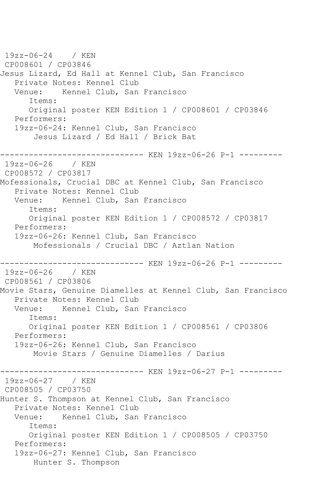19zz-06-24 / KEN CP008601 / CP03846 Jesus Lizard, Ed Hall at Kennel Club, San Francisco Private Notes: Kennel Club<br>Venue: Kennel Club, San Kennel Club, San Francisco Items: Original poster KEN Edition 1 / CP008601 / CP03846 Performers: 19zz-06-24: Kennel Club, San Francisco Jesus Lizard / Ed Hall / Brick Bat --------------------- KEN 19zz-06-26 P-1 ---------19zz-06-26 / KEN CP008572 / CP03817 Mofessionals, Crucial DBC at Kennel Club, San Francisco Private Notes: Kennel Club Venue: Kennel Club, San Francisco Items: Original poster KEN Edition 1 / CP008572 / CP03817 Performers: 19zz-06-26: Kennel Club, San Francisco Mofessionals / Crucial DBC / Aztlan Nation ------------------------------ KEN 19zz-06-26 P-1 --------- 19zz-06-26 / KEN CP008561 / CP03806 Movie Stars, Genuine Diamelles at Kennel Club, San Francisco Private Notes: Kennel Club Venue: Kennel Club, San Francisco Items: Original poster KEN Edition 1 / CP008561 / CP03806 Performers: 19zz-06-26: Kennel Club, San Francisco Movie Stars / Genuine Diamelles / Darius ------------------------------ KEN 19zz-06-27 P-1 --------- 19zz-06-27 / KEN CP008505 / CP03750 Hunter S. Thompson at Kennel Club, San Francisco Private Notes: Kennel Club Venue: Kennel Club, San Francisco Items: Original poster KEN Edition 1 / CP008505 / CP03750 Performers: 19zz-06-27: Kennel Club, San Francisco Hunter S. Thompson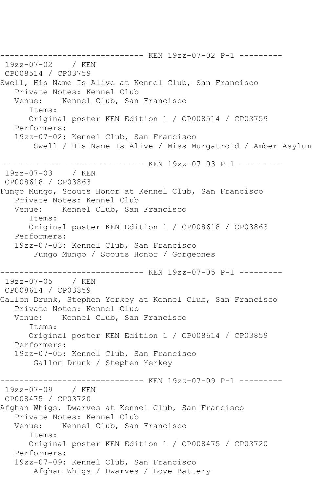------------------------------ KEN 19zz-07-02 P-1 --------- 19zz-07-02 / KEN CP008514 / CP03759 Swell, His Name Is Alive at Kennel Club, San Francisco Private Notes: Kennel Club Venue: Kennel Club, San Francisco Items: Original poster KEN Edition 1 / CP008514 / CP03759 Performers: 19zz-07-02: Kennel Club, San Francisco Swell / His Name Is Alive / Miss Murgatroid / Amber Asylum ------------------------------ KEN 19zz-07-03 P-1 --------- 19zz-07-03 / KEN CP008618 / CP03863 Fungo Mungo, Scouts Honor at Kennel Club, San Francisco Private Notes: Kennel Club Venue: Kennel Club, San Francisco Items: Original poster KEN Edition 1 / CP008618 / CP03863 Performers: 19zz-07-03: Kennel Club, San Francisco Fungo Mungo / Scouts Honor / Gorgeones ------------------------------ KEN 19zz-07-05 P-1 --------- 19zz-07-05 / KEN CP008614 / CP03859 Gallon Drunk, Stephen Yerkey at Kennel Club, San Francisco Private Notes: Kennel Club<br>Venue: Kennel Club, San Kennel Club, San Francisco Items: Original poster KEN Edition 1 / CP008614 / CP03859 Performers: 19zz-07-05: Kennel Club, San Francisco Gallon Drunk / Stephen Yerkey ------------------------------ KEN 19zz-07-09 P-1 --------- 19zz-07-09 / KEN CP008475 / CP03720 Afghan Whigs, Dwarves at Kennel Club, San Francisco Private Notes: Kennel Club Venue: Kennel Club, San Francisco Items: Original poster KEN Edition 1 / CP008475 / CP03720 Performers: 19zz-07-09: Kennel Club, San Francisco Afghan Whigs / Dwarves / Love Battery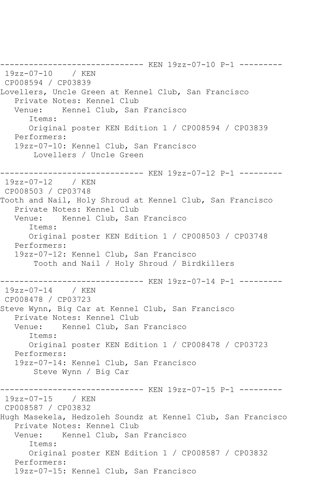------------------------------ KEN 19zz-07-10 P-1 --------- 19zz-07-10 / KEN CP008594 / CP03839 Lovellers, Uncle Green at Kennel Club, San Francisco Private Notes: Kennel Club Venue: Kennel Club, San Francisco Items: Original poster KEN Edition 1 / CP008594 / CP03839 Performers: 19zz-07-10: Kennel Club, San Francisco Lovellers / Uncle Green ------------------------------ KEN 19zz-07-12 P-1 --------- 19zz-07-12 / KEN CP008503 / CP03748 Tooth and Nail, Holy Shroud at Kennel Club, San Francisco Private Notes: Kennel Club<br>Venue: Kennel Club, San Kennel Club, San Francisco Items: Original poster KEN Edition 1 / CP008503 / CP03748 Performers: 19zz-07-12: Kennel Club, San Francisco Tooth and Nail / Holy Shroud / Birdkillers ------------------------------ KEN 19zz-07-14 P-1 --------- 19zz-07-14 / KEN CP008478 / CP03723 Steve Wynn, Big Car at Kennel Club, San Francisco Private Notes: Kennel Club Venue: Kennel Club, San Francisco Items: Original poster KEN Edition 1 / CP008478 / CP03723 Performers: 19zz-07-14: Kennel Club, San Francisco Steve Wynn / Big Car ----------- KEN 19zz-07-15 P-1 ---------19zz-07-15 / KEN CP008587 / CP03832 Hugh Masekela, Hedzoleh Soundz at Kennel Club, San Francisco Private Notes: Kennel Club<br>Venue: Kennel Club, San Kennel Club, San Francisco Items: Original poster KEN Edition 1 / CP008587 / CP03832 Performers: 19zz-07-15: Kennel Club, San Francisco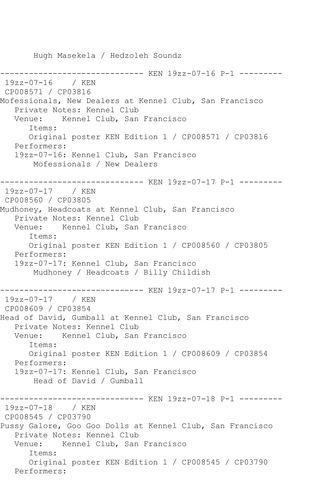Hugh Masekela / Hedzoleh Soundz ------------------------------ KEN 19zz-07-16 P-1 --------- 19zz-07-16 / KEN CP008571 / CP03816 Mofessionals, New Dealers at Kennel Club, San Francisco Private Notes: Kennel Club Venue: Kennel Club, San Francisco Items: Original poster KEN Edition 1 / CP008571 / CP03816 Performers: 19zz-07-16: Kennel Club, San Francisco Mofessionals / New Dealers ------------------------------ KEN 19zz-07-17 P-1 --------- 19zz-07-17 / KEN CP008560 / CP03805 Mudhoney, Headcoats at Kennel Club, San Francisco Private Notes: Kennel Club Venue: Kennel Club, San Francisco Items: Original poster KEN Edition 1 / CP008560 / CP03805 Performers: 19zz-07-17: Kennel Club, San Francisco Mudhoney / Headcoats / Billy Childish ------------------------------ KEN 19zz-07-17 P-1 --------- 19zz-07-17 / KEN CP008609 / CP03854 Head of David, Gumball at Kennel Club, San Francisco Private Notes: Kennel Club Venue: Kennel Club, San Francisco Items: Original poster KEN Edition 1 / CP008609 / CP03854 Performers: 19zz-07-17: Kennel Club, San Francisco Head of David / Gumball ------------------------------ KEN 19zz-07-18 P-1 --------- 19zz-07-18 / KEN CP008545 / CP03790 Pussy Galore, Goo Goo Dolls at Kennel Club, San Francisco Private Notes: Kennel Club Venue: Kennel Club, San Francisco Items: Original poster KEN Edition 1 / CP008545 / CP03790 Performers: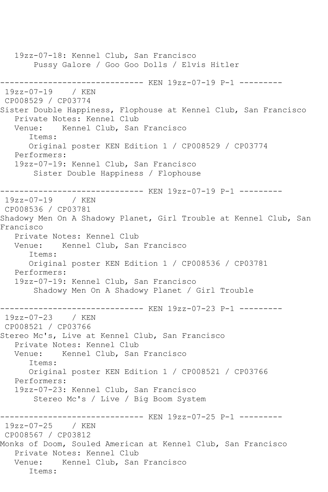19zz-07-18: Kennel Club, San Francisco Pussy Galore / Goo Goo Dolls / Elvis Hitler ------------------------------ KEN 19zz-07-19 P-1 ---------  $19zz-07-19$ CP008529 / CP03774 Sister Double Happiness, Flophouse at Kennel Club, San Francisco Private Notes: Kennel Club Venue: Kennel Club, San Francisco Items: Original poster KEN Edition 1 / CP008529 / CP03774 Performers: 19zz-07-19: Kennel Club, San Francisco Sister Double Happiness / Flophouse ------------------------------ KEN 19zz-07-19 P-1 --------- 19zz-07-19 / KEN CP008536 / CP03781 Shadowy Men On A Shadowy Planet, Girl Trouble at Kennel Club, San Francisco Private Notes: Kennel Club Venue: Kennel Club, San Francisco Items: Original poster KEN Edition 1 / CP008536 / CP03781 Performers: 19zz-07-19: Kennel Club, San Francisco Shadowy Men On A Shadowy Planet / Girl Trouble ------------------------------ KEN 19zz-07-23 P-1 --------- 19zz-07-23 / KEN CP008521 / CP03766 Stereo Mc's, Live at Kennel Club, San Francisco Private Notes: Kennel Club<br>Venue: Kennel Club. San Kennel Club, San Francisco Items: Original poster KEN Edition 1 / CP008521 / CP03766 Performers: 19zz-07-23: Kennel Club, San Francisco Stereo Mc's / Live / Big Boom System ------------------- KEN 19zz-07-25 P-1 ---------19zz-07-25 / KEN CP008567 / CP03812 Monks of Doom, Souled American at Kennel Club, San Francisco Private Notes: Kennel Club Venue: Kennel Club, San Francisco Items: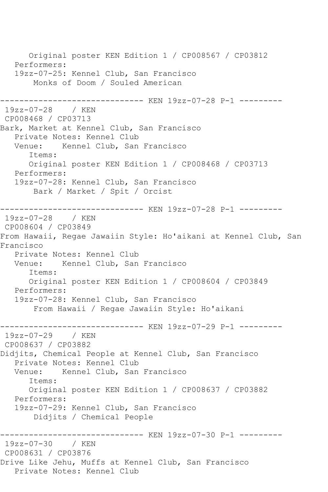Original poster KEN Edition 1 / CP008567 / CP03812 Performers: 19zz-07-25: Kennel Club, San Francisco Monks of Doom / Souled American ----------- KEN 19zz-07-28 P-1 ---------19zz-07-28 / KEN CP008468 / CP03713 Bark, Market at Kennel Club, San Francisco Private Notes: Kennel Club<br>Venue: Kennel Club, San Kennel Club, San Francisco Items: Original poster KEN Edition 1 / CP008468 / CP03713 Performers: 19zz-07-28: Kennel Club, San Francisco Bark / Market / Spit / Orcist ------------------------------ KEN 19zz-07-28 P-1 --------- 19zz-07-28 / KEN CP008604 / CP03849 From Hawaii, Regae Jawaiin Style: Ho'aikani at Kennel Club, San Francisco Private Notes: Kennel Club Venue: Kennel Club, San Francisco Items: Original poster KEN Edition 1 / CP008604 / CP03849 Performers: 19zz-07-28: Kennel Club, San Francisco From Hawaii / Regae Jawaiin Style: Ho'aikani ------------------------------ KEN 19zz-07-29 P-1 --------- 19zz-07-29 / KEN CP008637 / CP03882 Didjits, Chemical People at Kennel Club, San Francisco Private Notes: Kennel Club Venue: Kennel Club, San Francisco Items: Original poster KEN Edition 1 / CP008637 / CP03882 Performers: 19zz-07-29: Kennel Club, San Francisco Didjits / Chemical People ------------------------------ KEN 19zz-07-30 P-1 --------- 19zz-07-30 / KEN CP008631 / CP03876 Drive Like Jehu, Muffs at Kennel Club, San Francisco Private Notes: Kennel Club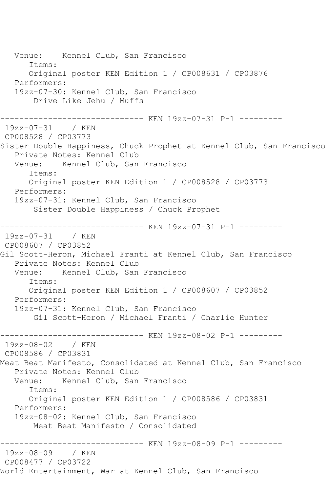Venue: Kennel Club, San Francisco Items: Original poster KEN Edition 1 / CP008631 / CP03876 Performers: 19zz-07-30: Kennel Club, San Francisco Drive Like Jehu / Muffs ------------------------------ KEN 19zz-07-31 P-1 --------- 19zz-07-31 / KEN CP008528 / CP03773 Sister Double Happiness, Chuck Prophet at Kennel Club, San Francisco Private Notes: Kennel Club Venue: Kennel Club, San Francisco Items: Original poster KEN Edition 1 / CP008528 / CP03773 Performers: 19zz-07-31: Kennel Club, San Francisco Sister Double Happiness / Chuck Prophet ------------------------------ KEN 19zz-07-31 P-1 --------- 19zz-07-31 / KEN CP008607 / CP03852 Gil Scott-Heron, Michael Franti at Kennel Club, San Francisco Private Notes: Kennel Club Venue: Kennel Club, San Francisco Items: Original poster KEN Edition 1 / CP008607 / CP03852 Performers: 19zz-07-31: Kennel Club, San Francisco Gil Scott-Heron / Michael Franti / Charlie Hunter ------------------------------ KEN 19zz-08-02 P-1 --------- 19zz-08-02 / KEN CP008586 / CP03831 Meat Beat Manifesto, Consolidated at Kennel Club, San Francisco Private Notes: Kennel Club<br>Venue: Kennel Club, San Kennel Club, San Francisco Items: Original poster KEN Edition 1 / CP008586 / CP03831 Performers: 19zz-08-02: Kennel Club, San Francisco Meat Beat Manifesto / Consolidated ------------------------------ KEN 19zz-08-09 P-1 --------- 19zz-08-09 / KEN CP008477 / CP03722 World Entertainment, War at Kennel Club, San Francisco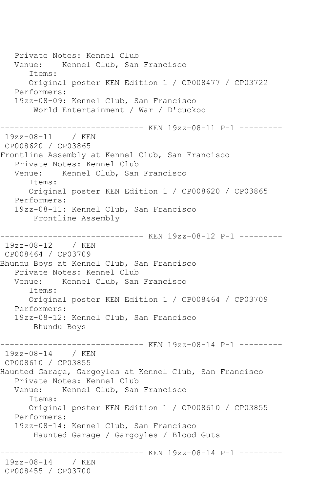Private Notes: Kennel Club Venue: Kennel Club, San Francisco Items: Original poster KEN Edition 1 / CP008477 / CP03722 Performers: 19zz-08-09: Kennel Club, San Francisco World Entertainment / War / D'cuckoo ------------------------------ KEN 19zz-08-11 P-1 --------- 19zz-08-11 / KEN CP008620 / CP03865 Frontline Assembly at Kennel Club, San Francisco Private Notes: Kennel Club<br>Venue: Kennel Club, San Kennel Club, San Francisco Items: Original poster KEN Edition 1 / CP008620 / CP03865 Performers: 19zz-08-11: Kennel Club, San Francisco Frontline Assembly ------------------------------ KEN 19zz-08-12 P-1 --------- 19zz-08-12 / KEN CP008464 / CP03709 Bhundu Boys at Kennel Club, San Francisco Private Notes: Kennel Club Venue: Kennel Club, San Francisco Items: Original poster KEN Edition 1 / CP008464 / CP03709 Performers: 19zz-08-12: Kennel Club, San Francisco Bhundu Boys ------------------------------ KEN 19zz-08-14 P-1 --------- 19zz-08-14 / KEN CP008610 / CP03855 Haunted Garage, Gargoyles at Kennel Club, San Francisco Private Notes: Kennel Club Venue: Kennel Club, San Francisco Items: Original poster KEN Edition 1 / CP008610 / CP03855 Performers: 19zz-08-14: Kennel Club, San Francisco Haunted Garage / Gargoyles / Blood Guts ------------------------------ KEN 19zz-08-14 P-1 --------- 19zz-08-14 / KEN CP008455 / CP03700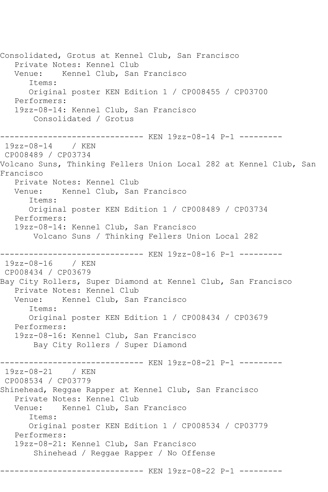Consolidated, Grotus at Kennel Club, San Francisco Private Notes: Kennel Club Venue: Kennel Club, San Francisco Items: Original poster KEN Edition 1 / CP008455 / CP03700 Performers: 19zz-08-14: Kennel Club, San Francisco Consolidated / Grotus ------------------------------ KEN 19zz-08-14 P-1 --------- 19zz-08-14 / KEN CP008489 / CP03734 Volcano Suns, Thinking Fellers Union Local 282 at Kennel Club, San Francisco Private Notes: Kennel Club Venue: Kennel Club, San Francisco Items: Original poster KEN Edition 1 / CP008489 / CP03734 Performers: 19zz-08-14: Kennel Club, San Francisco Volcano Suns / Thinking Fellers Union Local 282 ------------------------------ KEN 19zz-08-16 P-1 --------- 19zz-08-16 / KEN CP008434 / CP03679 Bay City Rollers, Super Diamond at Kennel Club, San Francisco Private Notes: Kennel Club Venue: Kennel Club, San Francisco Items: Original poster KEN Edition 1 / CP008434 / CP03679 Performers: 19zz-08-16: Kennel Club, San Francisco Bay City Rollers / Super Diamond ------------------------------ KEN 19zz-08-21 P-1 --------- 19zz-08-21 / KEN CP008534 / CP03779 Shinehead, Reggae Rapper at Kennel Club, San Francisco Private Notes: Kennel Club<br>Venue: Kennel Club, San Kennel Club, San Francisco Items: Original poster KEN Edition 1 / CP008534 / CP03779 Performers: 19zz-08-21: Kennel Club, San Francisco Shinehead / Reggae Rapper / No Offense ------------------------------ KEN 19zz-08-22 P-1 ---------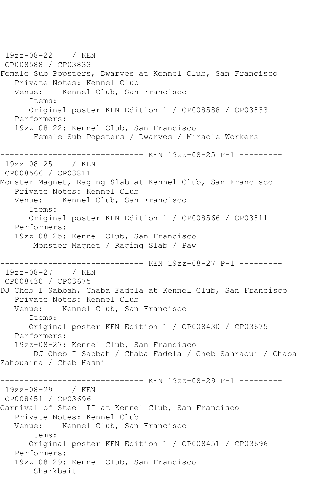19zz-08-22 / KEN CP008588 / CP03833 Female Sub Popsters, Dwarves at Kennel Club, San Francisco Private Notes: Kennel Club<br>Venue: Kennel Club, San Kennel Club, San Francisco Items: Original poster KEN Edition 1 / CP008588 / CP03833 Performers: 19zz-08-22: Kennel Club, San Francisco Female Sub Popsters / Dwarves / Miracle Workers ---------------------- KEN 19zz-08-25 P-1 ----------<br>25 / KEN  $19zz-08-25$ CP008566 / CP03811 Monster Magnet, Raging Slab at Kennel Club, San Francisco Private Notes: Kennel Club Venue: Kennel Club, San Francisco Items: Original poster KEN Edition 1 / CP008566 / CP03811 Performers: 19zz-08-25: Kennel Club, San Francisco Monster Magnet / Raging Slab / Paw ------------------------------ KEN 19zz-08-27 P-1 --------- 19zz-08-27 / KEN CP008430 / CP03675 DJ Cheb I Sabbah, Chaba Fadela at Kennel Club, San Francisco Private Notes: Kennel Club Venue: Kennel Club, San Francisco Items: Original poster KEN Edition 1 / CP008430 / CP03675 Performers: 19zz-08-27: Kennel Club, San Francisco DJ Cheb I Sabbah / Chaba Fadela / Cheb Sahraoui / Chaba Zahouaina / Cheb Hasni ------------------------------ KEN 19zz-08-29 P-1 --------- 19zz-08-29 / KEN CP008451 / CP03696 Carnival of Steel II at Kennel Club, San Francisco Private Notes: Kennel Club Venue: Kennel Club, San Francisco Items: Original poster KEN Edition 1 / CP008451 / CP03696 Performers: 19zz-08-29: Kennel Club, San Francisco Sharkbait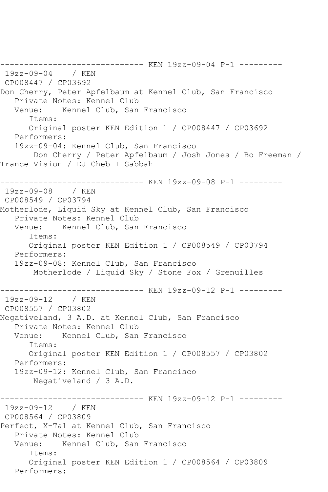------------------------------ KEN 19zz-09-04 P-1 --------- 19zz-09-04 / KEN CP008447 / CP03692 Don Cherry, Peter Apfelbaum at Kennel Club, San Francisco Private Notes: Kennel Club Venue: Kennel Club, San Francisco Items: Original poster KEN Edition 1 / CP008447 / CP03692 Performers: 19zz-09-04: Kennel Club, San Francisco Don Cherry / Peter Apfelbaum / Josh Jones / Bo Freeman / Trance Vision / DJ Cheb I Sabbah ------------------------------ KEN 19zz-09-08 P-1 --------- 19zz-09-08 / KEN CP008549 / CP03794 Motherlode, Liquid Sky at Kennel Club, San Francisco Private Notes: Kennel Club Venue: Kennel Club, San Francisco Items: Original poster KEN Edition 1 / CP008549 / CP03794 Performers: 19zz-09-08: Kennel Club, San Francisco Motherlode / Liquid Sky / Stone Fox / Grenuilles ------------------------------ KEN 19zz-09-12 P-1 --------- 19zz-09-12 / KEN CP008557 / CP03802 Negativeland, 3 A.D. at Kennel Club, San Francisco Private Notes: Kennel Club Venue: Kennel Club, San Francisco Items: Original poster KEN Edition 1 / CP008557 / CP03802 Performers: 19zz-09-12: Kennel Club, San Francisco Negativeland / 3 A.D. ------------------------------ KEN 19zz-09-12 P-1 --------- 19zz-09-12 / KEN CP008564 / CP03809 Perfect, X-Tal at Kennel Club, San Francisco Private Notes: Kennel Club Venue: Kennel Club, San Francisco Items: Original poster KEN Edition 1 / CP008564 / CP03809 Performers: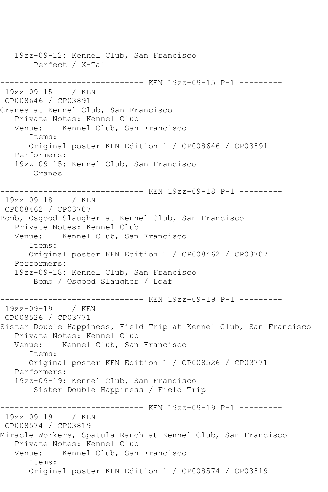19zz-09-12: Kennel Club, San Francisco Perfect / X-Tal ------------------------------ KEN 19zz-09-15 P-1 --------- 19zz-09-15 / KEN CP008646 / CP03891 Cranes at Kennel Club, San Francisco Private Notes: Kennel Club Venue: Kennel Club, San Francisco Items: Original poster KEN Edition 1 / CP008646 / CP03891 Performers: 19zz-09-15: Kennel Club, San Francisco Cranes ------------------------------ KEN 19zz-09-18 P-1 --------- 19zz-09-18 / KEN CP008462 / CP03707 Bomb, Osgood Slaugher at Kennel Club, San Francisco Private Notes: Kennel Club Venue: Kennel Club, San Francisco Items: Original poster KEN Edition 1 / CP008462 / CP03707 Performers: 19zz-09-18: Kennel Club, San Francisco Bomb / Osgood Slaugher / Loaf ------------------------------ KEN 19zz-09-19 P-1 ---------  $19zz - 09 - 19$ CP008526 / CP03771 Sister Double Happiness, Field Trip at Kennel Club, San Francisco Private Notes: Kennel Club<br>Venue: Kennel Club, San Kennel Club, San Francisco Items: Original poster KEN Edition 1 / CP008526 / CP03771 Performers: 19zz-09-19: Kennel Club, San Francisco Sister Double Happiness / Field Trip ------------------------------ KEN 19zz-09-19 P-1 --------- 19zz-09-19 / KEN CP008574 / CP03819 Miracle Workers, Spatula Ranch at Kennel Club, San Francisco Private Notes: Kennel Club Venue: Kennel Club, San Francisco Items: Original poster KEN Edition 1 / CP008574 / CP03819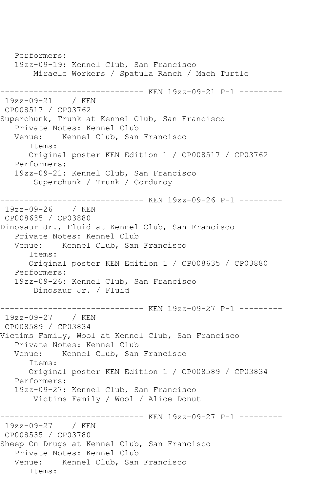Performers: 19zz-09-19: Kennel Club, San Francisco Miracle Workers / Spatula Ranch / Mach Turtle ------------------------------ KEN 19zz-09-21 P-1 --------- 19zz-09-21 / KEN CP008517 / CP03762 Superchunk, Trunk at Kennel Club, San Francisco Private Notes: Kennel Club Venue: Kennel Club, San Francisco Items: Original poster KEN Edition 1 / CP008517 / CP03762 Performers: 19zz-09-21: Kennel Club, San Francisco Superchunk / Trunk / Corduroy ------------------------------ KEN 19zz-09-26 P-1 --------- 19zz-09-26 / KEN CP008635 / CP03880 Dinosaur Jr., Fluid at Kennel Club, San Francisco Private Notes: Kennel Club Venue: Kennel Club, San Francisco Items: Original poster KEN Edition 1 / CP008635 / CP03880 Performers: 19zz-09-26: Kennel Club, San Francisco Dinosaur Jr. / Fluid ------------------------------ KEN 19zz-09-27 P-1 --------- 19zz-09-27 / KEN CP008589 / CP03834 Victims Family, Wool at Kennel Club, San Francisco Private Notes: Kennel Club<br>Venue: Kennel Club, San Kennel Club, San Francisco Items: Original poster KEN Edition 1 / CP008589 / CP03834 Performers: 19zz-09-27: Kennel Club, San Francisco Victims Family / Wool / Alice Donut ------------------------------ KEN 19zz-09-27 P-1 --------- 19zz-09-27 / KEN CP008535 / CP03780 Sheep On Drugs at Kennel Club, San Francisco Private Notes: Kennel Club Venue: Kennel Club, San Francisco Items: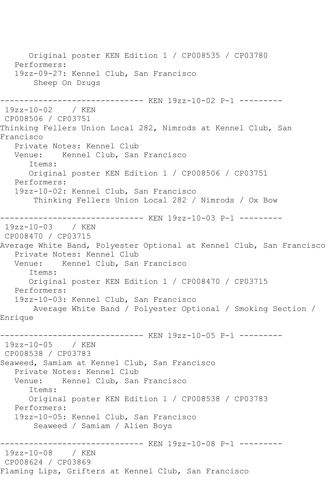Original poster KEN Edition 1 / CP008535 / CP03780 Performers: 19zz-09-27: Kennel Club, San Francisco Sheep On Drugs ------------------------------ KEN 19zz-10-02 P-1 --------- 19zz-10-02 / KEN CP008506 / CP03751 Thinking Fellers Union Local 282, Nimrods at Kennel Club, San Francisco Private Notes: Kennel Club Venue: Kennel Club, San Francisco Items: Original poster KEN Edition 1 / CP008506 / CP03751 Performers: 19zz-10-02: Kennel Club, San Francisco Thinking Fellers Union Local 282 / Nimrods / Ox Bow ------------------------------ KEN 19zz-10-03 P-1 --------- 19zz-10-03 / KEN CP008470 / CP03715 Average White Band, Polyester Optional at Kennel Club, San Francisco Private Notes: Kennel Club<br>Venue: Kennel Club, San Kennel Club, San Francisco Items: Original poster KEN Edition 1 / CP008470 / CP03715 Performers: 19zz-10-03: Kennel Club, San Francisco Average White Band / Polyester Optional / Smoking Section / Enrique ------------------------------ KEN 19zz-10-05 P-1 --------- 19zz-10-05 / KEN CP008538 / CP03783 Seaweed, Samiam at Kennel Club, San Francisco Private Notes: Kennel Club<br>Venue: Kennel Club, San Kennel Club, San Francisco Items: Original poster KEN Edition 1 / CP008538 / CP03783 Performers: 19zz-10-05: Kennel Club, San Francisco Seaweed / Samiam / Alien Boys ------------------------------ KEN 19zz-10-08 P-1 --------- 19zz-10-08 / KEN CP008624 / CP03869 Flaming Lips, Grifters at Kennel Club, San Francisco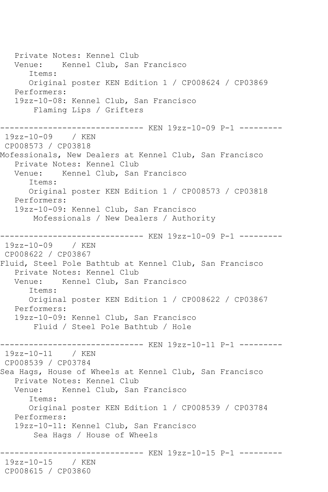Private Notes: Kennel Club Venue: Kennel Club, San Francisco Items: Original poster KEN Edition 1 / CP008624 / CP03869 Performers: 19zz-10-08: Kennel Club, San Francisco Flaming Lips / Grifters ------------------------------ KEN 19zz-10-09 P-1 --------- 19zz-10-09 / KEN CP008573 / CP03818 Mofessionals, New Dealers at Kennel Club, San Francisco Private Notes: Kennel Club Venue: Kennel Club, San Francisco Items: Original poster KEN Edition 1 / CP008573 / CP03818 Performers: 19zz-10-09: Kennel Club, San Francisco Mofessionals / New Dealers / Authority ------------------------------ KEN 19zz-10-09 P-1 --------- 19zz-10-09 / KEN CP008622 / CP03867 Fluid, Steel Pole Bathtub at Kennel Club, San Francisco Private Notes: Kennel Club Venue: Kennel Club, San Francisco Items: Original poster KEN Edition 1 / CP008622 / CP03867 Performers: 19zz-10-09: Kennel Club, San Francisco Fluid / Steel Pole Bathtub / Hole ------------------------------ KEN 19zz-10-11 P-1 --------- 19zz-10-11 / KEN CP008539 / CP03784 Sea Hags, House of Wheels at Kennel Club, San Francisco Private Notes: Kennel Club Venue: Kennel Club, San Francisco Items: Original poster KEN Edition 1 / CP008539 / CP03784 Performers: 19zz-10-11: Kennel Club, San Francisco Sea Hags / House of Wheels ------------------------------ KEN 19zz-10-15 P-1 --------- 19zz-10-15 / KEN CP008615 / CP03860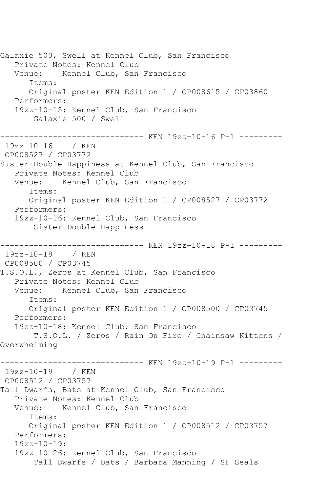Galaxie 500, Swell at Kennel Club, San Francisco Private Notes: Kennel Club Venue: Kennel Club, San Francisco Items: Original poster KEN Edition 1 / CP008615 / CP03860 Performers: 19zz-10-15: Kennel Club, San Francisco Galaxie 500 / Swell ------------------------------ KEN 19zz-10-16 P-1 --------- 19zz-10-16 / KEN CP008527 / CP03772 Sister Double Happiness at Kennel Club, San Francisco Private Notes: Kennel Club Venue: Kennel Club, San Francisco Items: Original poster KEN Edition 1 / CP008527 / CP03772 Performers: 19zz-10-16: Kennel Club, San Francisco Sister Double Happiness ------------------------------ KEN 19zz-10-18 P-1 --------- 19zz-10-18 / KEN CP008500 / CP03745 T.S.O.L., Zeros at Kennel Club, San Francisco Private Notes: Kennel Club<br>Venue: Kennel Club, San Kennel Club, San Francisco Items: Original poster KEN Edition 1 / CP008500 / CP03745 Performers: 19zz-10-18: Kennel Club, San Francisco T.S.O.L. / Zeros / Rain On Fire / Chainsaw Kittens / Overwhelming ----------- KEN 19zz-10-19 P-1 ---------19zz-10-19 / KEN CP008512 / CP03757 Tall Dwarfs, Bats at Kennel Club, San Francisco Private Notes: Kennel Club Venue: Kennel Club, San Francisco Items: Original poster KEN Edition 1 / CP008512 / CP03757 Performers: 19zz-10-19: 19zz-10-26: Kennel Club, San Francisco Tall Dwarfs / Bats / Barbara Manning / SF Seals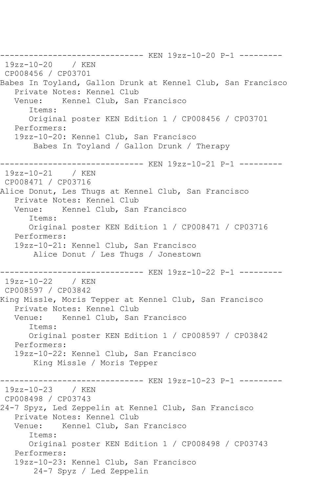------------------------------ KEN 19zz-10-20 P-1 --------- 19zz-10-20 / KEN CP008456 / CP03701 Babes In Toyland, Gallon Drunk at Kennel Club, San Francisco Private Notes: Kennel Club Venue: Kennel Club, San Francisco Items: Original poster KEN Edition 1 / CP008456 / CP03701 Performers: 19zz-10-20: Kennel Club, San Francisco Babes In Toyland / Gallon Drunk / Therapy ------------------------------ KEN 19zz-10-21 P-1 --------- 19zz-10-21 / KEN CP008471 / CP03716 Alice Donut, Les Thugs at Kennel Club, San Francisco Private Notes: Kennel Club Venue: Kennel Club, San Francisco Items: Original poster KEN Edition 1 / CP008471 / CP03716 Performers: 19zz-10-21: Kennel Club, San Francisco Alice Donut / Les Thugs / Jonestown ------------------------------ KEN 19zz-10-22 P-1 --------- 19zz-10-22 / KEN CP008597 / CP03842 King Missle, Moris Tepper at Kennel Club, San Francisco Private Notes: Kennel Club Venue: Kennel Club, San Francisco Items: Original poster KEN Edition 1 / CP008597 / CP03842 Performers: 19zz-10-22: Kennel Club, San Francisco King Missle / Moris Tepper ------------------------------ KEN 19zz-10-23 P-1 --------- 19zz-10-23 / KEN CP008498 / CP03743 24-7 Spyz, Led Zeppelin at Kennel Club, San Francisco Private Notes: Kennel Club Venue: Kennel Club, San Francisco Items: Original poster KEN Edition 1 / CP008498 / CP03743 Performers: 19zz-10-23: Kennel Club, San Francisco 24-7 Spyz / Led Zeppelin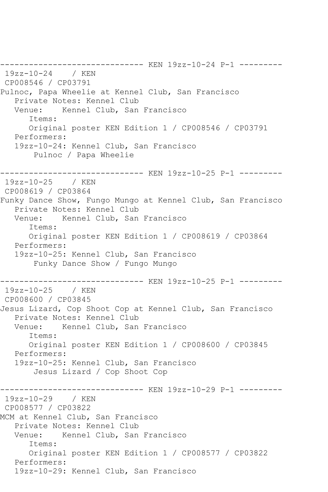------------------------------ KEN 19zz-10-24 P-1 --------- 19zz-10-24 / KEN CP008546 / CP03791 Pulnoc, Papa Wheelie at Kennel Club, San Francisco Private Notes: Kennel Club Venue: Kennel Club, San Francisco Items: Original poster KEN Edition 1 / CP008546 / CP03791 Performers: 19zz-10-24: Kennel Club, San Francisco Pulnoc / Papa Wheelie ------------------------------ KEN 19zz-10-25 P-1 --------- 19zz-10-25 / KEN CP008619 / CP03864 Funky Dance Show, Fungo Mungo at Kennel Club, San Francisco Private Notes: Kennel Club<br>Venue: Kennel Club, San Kennel Club, San Francisco Items: Original poster KEN Edition 1 / CP008619 / CP03864 Performers: 19zz-10-25: Kennel Club, San Francisco Funky Dance Show / Fungo Mungo ------------------------------ KEN 19zz-10-25 P-1 --------- 19zz-10-25 / KEN CP008600 / CP03845 Jesus Lizard, Cop Shoot Cop at Kennel Club, San Francisco Private Notes: Kennel Club<br>Venue: Kennel Club, San Kennel Club, San Francisco Items: Original poster KEN Edition 1 / CP008600 / CP03845 Performers: 19zz-10-25: Kennel Club, San Francisco Jesus Lizard / Cop Shoot Cop ------------ KEN 19zz-10-29 P-1 ----------19zz-10-29 / KEN CP008577 / CP03822 MCM at Kennel Club, San Francisco Private Notes: Kennel Club Venue: Kennel Club, San Francisco Items: Original poster KEN Edition 1 / CP008577 / CP03822 Performers: 19zz-10-29: Kennel Club, San Francisco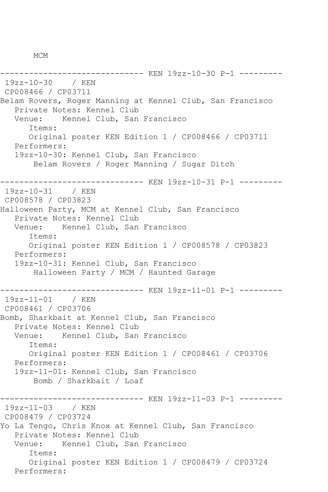MCM

------------------------------ KEN 19zz-10-30 P-1 --------- 19zz-10-30 / KEN CP008466 / CP03711 Belam Rovers, Roger Manning at Kennel Club, San Francisco Private Notes: Kennel Club Venue: Kennel Club, San Francisco Items: Original poster KEN Edition 1 / CP008466 / CP03711 Performers: 19zz-10-30: Kennel Club, San Francisco Belam Rovers / Roger Manning / Sugar Ditch ------------------------------ KEN 19zz-10-31 P-1 --------- 19zz-10-31 / KEN CP008578 / CP03823 Halloween Party, MCM at Kennel Club, San Francisco Private Notes: Kennel Club Venue: Kennel Club, San Francisco Items: Original poster KEN Edition 1 / CP008578 / CP03823 Performers: 19zz-10-31: Kennel Club, San Francisco Halloween Party / MCM / Haunted Garage ------------------------------ KEN 19zz-11-01 P-1 --------- 19zz-11-01 / KEN CP008461 / CP03706 Bomb, Sharkbait at Kennel Club, San Francisco Private Notes: Kennel Club Venue: Kennel Club, San Francisco Items: Original poster KEN Edition 1 / CP008461 / CP03706 Performers: 19zz-11-01: Kennel Club, San Francisco Bomb / Sharkbait / Loaf ------------------------------ KEN 19zz-11-03 P-1 --------- 19zz-11-03 / KEN CP008479 / CP03724 Yo La Tengo, Chris Knox at Kennel Club, San Francisco Private Notes: Kennel Club Venue: Kennel Club, San Francisco Items: Original poster KEN Edition 1 / CP008479 / CP03724 Performers: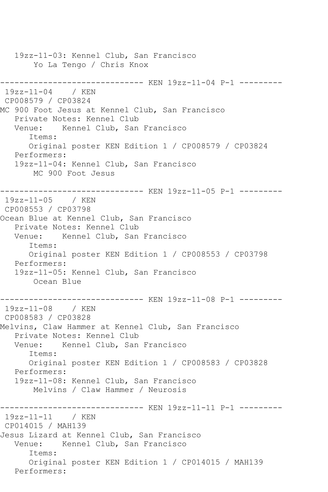19zz-11-03: Kennel Club, San Francisco Yo La Tengo / Chris Knox ------------------------------ KEN 19zz-11-04 P-1 --------- 19zz-11-04 / KEN CP008579 / CP03824 MC 900 Foot Jesus at Kennel Club, San Francisco Private Notes: Kennel Club Venue: Kennel Club, San Francisco Items: Original poster KEN Edition 1 / CP008579 / CP03824 Performers: 19zz-11-04: Kennel Club, San Francisco MC 900 Foot Jesus ------------------------------ KEN 19zz-11-05 P-1 --------- 19zz-11-05 / KEN CP008553 / CP03798 Ocean Blue at Kennel Club, San Francisco Private Notes: Kennel Club Venue: Kennel Club, San Francisco Items: Original poster KEN Edition 1 / CP008553 / CP03798 Performers: 19zz-11-05: Kennel Club, San Francisco Ocean Blue ------------------------------ KEN 19zz-11-08 P-1 --------- 19zz-11-08 / KEN CP008583 / CP03828 Melvins, Claw Hammer at Kennel Club, San Francisco Private Notes: Kennel Club Venue: Kennel Club, San Francisco Items: Original poster KEN Edition 1 / CP008583 / CP03828 Performers: 19zz-11-08: Kennel Club, San Francisco Melvins / Claw Hammer / Neurosis ------------------------------ KEN 19zz-11-11 P-1 --------- 19zz-11-11 / KEN CP014015 / MAH139 Jesus Lizard at Kennel Club, San Francisco Venue: Kennel Club, San Francisco Items: Original poster KEN Edition 1 / CP014015 / MAH139 Performers: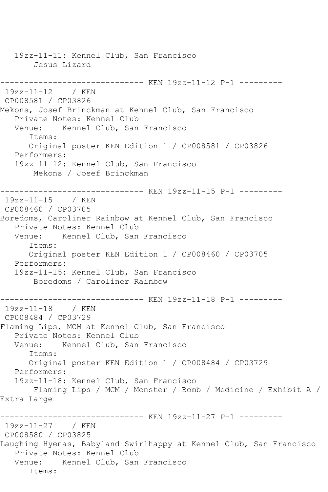19zz-11-11: Kennel Club, San Francisco Jesus Lizard ------------------------------ KEN 19zz-11-12 P-1 --------- 19zz-11-12 / KEN CP008581 / CP03826 Mekons, Josef Brinckman at Kennel Club, San Francisco Private Notes: Kennel Club Venue: Kennel Club, San Francisco Items: Original poster KEN Edition 1 / CP008581 / CP03826 Performers: 19zz-11-12: Kennel Club, San Francisco Mekons / Josef Brinckman ------------------------------ KEN 19zz-11-15 P-1 --------- 19zz-11-15 / KEN CP008460 / CP03705 Boredoms, Caroliner Rainbow at Kennel Club, San Francisco Private Notes: Kennel Club Venue: Kennel Club, San Francisco Items: Original poster KEN Edition 1 / CP008460 / CP03705 Performers: 19zz-11-15: Kennel Club, San Francisco Boredoms / Caroliner Rainbow ------------------------------ KEN 19zz-11-18 P-1 --------- 19zz-11-18 / KEN CP008484 / CP03729 Flaming Lips, MCM at Kennel Club, San Francisco Private Notes: Kennel Club Venue: Kennel Club, San Francisco Items: Original poster KEN Edition 1 / CP008484 / CP03729 Performers: 19zz-11-18: Kennel Club, San Francisco Flaming Lips / MCM / Monster / Bomb / Medicine / Exhibit A / Extra Large ------------------------------ KEN 19zz-11-27 P-1 --------- 19zz-11-27 / KEN CP008580 / CP03825 Laughing Hyenas, Babyland Swirlhappy at Kennel Club, San Francisco Private Notes: Kennel Club Venue: Kennel Club, San Francisco Items: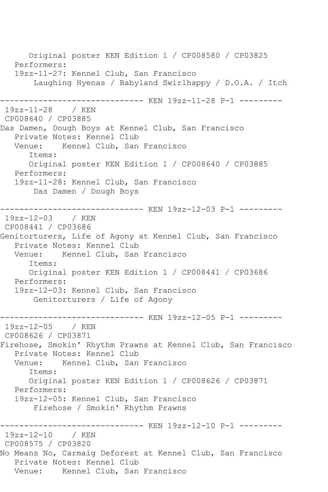Original poster KEN Edition 1 / CP008580 / CP03825 Performers: 19zz-11-27: Kennel Club, San Francisco Laughing Hyenas / Babyland Swirlhappy / D.O.A. / Itch ------------------------------ KEN 19zz-11-28 P-1 --------- 19zz-11-28 / KEN CP008640 / CP03885 Das Damen, Dough Boys at Kennel Club, San Francisco Private Notes: Kennel Club<br>Venue: Kennel Club, San Kennel Club, San Francisco Items: Original poster KEN Edition 1 / CP008640 / CP03885 Performers: 19zz-11-28: Kennel Club, San Francisco Das Damen / Dough Boys ------------------------------ KEN 19zz-12-03 P-1 --------- 19zz-12-03 / KEN CP008441 / CP03686 Genitorturers, Life of Agony at Kennel Club, San Francisco Private Notes: Kennel Club Venue: Kennel Club, San Francisco Items: Original poster KEN Edition 1 / CP008441 / CP03686 Performers: 19zz-12-03: Kennel Club, San Francisco Genitorturers / Life of Agony ------------------------------ KEN 19zz-12-05 P-1 --------- 19zz-12-05 / KEN CP008626 / CP03871 Firehose, Smokin' Rhythm Prawns at Kennel Club, San Francisco Private Notes: Kennel Club Venue: Kennel Club, San Francisco Items: Original poster KEN Edition 1 / CP008626 / CP03871 Performers: 19zz-12-05: Kennel Club, San Francisco Firehose / Smokin' Rhythm Prawns ------------------------------ KEN 19zz-12-10 P-1 --------- 19zz-12-10 / KEN CP008575 / CP03820 No Means No, Carmaig Deforest at Kennel Club, San Francisco Private Notes: Kennel Club Venue: Kennel Club, San Francisco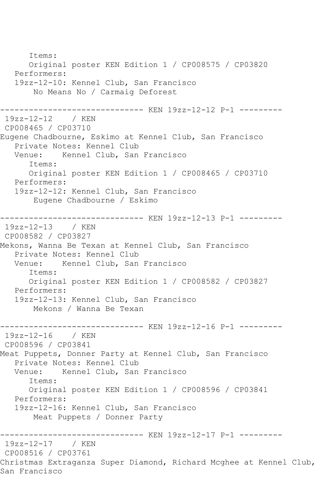Items: Original poster KEN Edition 1 / CP008575 / CP03820 Performers: 19zz-12-10: Kennel Club, San Francisco No Means No / Carmaig Deforest ------------------------------ KEN 19zz-12-12 P-1 --------- 19zz-12-12 / KEN CP008465 / CP03710 Eugene Chadbourne, Eskimo at Kennel Club, San Francisco Private Notes: Kennel Club Venue: Kennel Club, San Francisco Items: Original poster KEN Edition 1 / CP008465 / CP03710 Performers: 19zz-12-12: Kennel Club, San Francisco Eugene Chadbourne / Eskimo ------------------------------ KEN 19zz-12-13 P-1 --------- 19zz-12-13 / KEN CP008582 / CP03827 Mekons, Wanna Be Texan at Kennel Club, San Francisco Private Notes: Kennel Club Venue: Kennel Club, San Francisco Items: Original poster KEN Edition 1 / CP008582 / CP03827 Performers: 19zz-12-13: Kennel Club, San Francisco Mekons / Wanna Be Texan ------------------------------ KEN 19zz-12-16 P-1 --------- 19zz-12-16 / KEN CP008596 / CP03841 Meat Puppets, Donner Party at Kennel Club, San Francisco Private Notes: Kennel Club Venue: Kennel Club, San Francisco Items: Original poster KEN Edition 1 / CP008596 / CP03841 Performers: 19zz-12-16: Kennel Club, San Francisco Meat Puppets / Donner Party ------------------------------ KEN 19zz-12-17 P-1 --------- 19zz-12-17 / KEN CP008516 / CP03761 Christmas Extraganza Super Diamond, Richard Mcghee at Kennel Club, San Francisco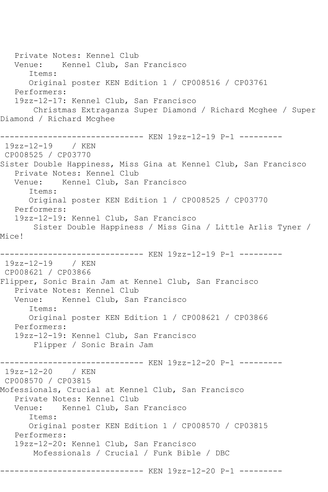Private Notes: Kennel Club Venue: Kennel Club, San Francisco Items: Original poster KEN Edition 1 / CP008516 / CP03761 Performers: 19zz-12-17: Kennel Club, San Francisco Christmas Extraganza Super Diamond / Richard Mcghee / Super Diamond / Richard Mcghee ------------------------------ KEN 19zz-12-19 P-1 --------- 19zz-12-19 / KEN CP008525 / CP03770 Sister Double Happiness, Miss Gina at Kennel Club, San Francisco Private Notes: Kennel Club Venue: Kennel Club, San Francisco Items: Original poster KEN Edition 1 / CP008525 / CP03770 Performers: 19zz-12-19: Kennel Club, San Francisco Sister Double Happiness / Miss Gina / Little Arlis Tyner / Mice! ------------------------------ KEN 19zz-12-19 P-1 --------- 19zz-12-19 / KEN CP008621 / CP03866 Flipper, Sonic Brain Jam at Kennel Club, San Francisco Private Notes: Kennel Club Venue: Kennel Club, San Francisco Items: Original poster KEN Edition 1 / CP008621 / CP03866 Performers: 19zz-12-19: Kennel Club, San Francisco Flipper / Sonic Brain Jam ----------- KEN 19zz-12-20 P-1 ---------19zz-12-20 / KEN CP008570 / CP03815 Mofessionals, Crucial at Kennel Club, San Francisco Private Notes: Kennel Club<br>Venue: Kennel Club, San Kennel Club, San Francisco Items: Original poster KEN Edition 1 / CP008570 / CP03815 Performers: 19zz-12-20: Kennel Club, San Francisco Mofessionals / Crucial / Funk Bible / DBC ------------------------------ KEN 19zz-12-20 P-1 ---------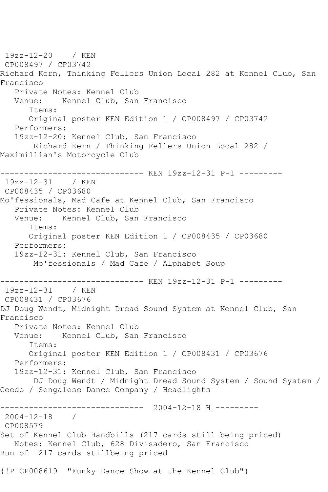19zz-12-20 / KEN CP008497 / CP03742 Richard Kern, Thinking Fellers Union Local 282 at Kennel Club, San Francisco Private Notes: Kennel Club Venue: Kennel Club, San Francisco Items: Original poster KEN Edition 1 / CP008497 / CP03742 Performers: 19zz-12-20: Kennel Club, San Francisco Richard Kern / Thinking Fellers Union Local 282 / Maximillian's Motorcycle Club ------------------------------ KEN 19zz-12-31 P-1 --------- 19zz-12-31 / KEN CP008435 / CP03680 Mo'fessionals, Mad Cafe at Kennel Club, San Francisco Private Notes: Kennel Club<br>Venue: Kennel Club. San Kennel Club, San Francisco Items: Original poster KEN Edition 1 / CP008435 / CP03680 Performers: 19zz-12-31: Kennel Club, San Francisco Mo'fessionals / Mad Cafe / Alphabet Soup ------------------------------ KEN 19zz-12-31 P-1 --------- 19zz-12-31 / KEN CP008431 / CP03676 DJ Doug Wendt, Midnight Dread Sound System at Kennel Club, San Francisco Private Notes: Kennel Club Venue: Kennel Club, San Francisco Items: Original poster KEN Edition 1 / CP008431 / CP03676 Performers: 19zz-12-31: Kennel Club, San Francisco DJ Doug Wendt / Midnight Dread Sound System / Sound System / Ceedo / Sengalese Dance Company / Headlights ------------------------------ 2004-12-18 H --------- 2004-12-18 / CP008579 Set of Kennel Club Handbills (217 cards still being priced) Notes: Kennel Club, 628 Divisadero, San Francisco Run of 217 cards stillbeing priced {!P CP008619 "Funky Dance Show at the Kennel Club"}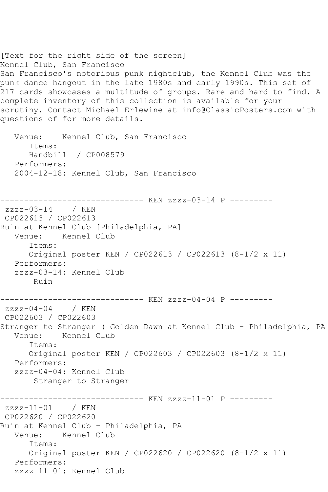```
[Text for the right side of the screen]
Kennel Club, San Francisco
San Francisco's notorious punk nightclub, the Kennel Club was the
punk dance hangout in the late 1980s and early 1990s. This set of 
217 cards showcases a multitude of groups. Rare and hard to find. A 
complete inventory of this collection is available for your 
scrutiny. Contact Michael Erlewine at info@ClassicPosters.com with 
questions of for more details.
   Venue: Kennel Club, San Francisco
      Items:
      Handbill / CP008579
   Performers:
   2004-12-18: Kennel Club, San Francisco
------------------------------ KEN zzzz-03-14 P ---------
zzzz-03-14 / KEN 
CP022613 / CP022613
Ruin at Kennel Club [Philadelphia, PA]
   Venue: Kennel Club
      Items:
      Original poster KEN / CP022613 / CP022613 (8-1/2 x 11)
   Performers:
   zzzz-03-14: Kennel Club
       Ruin
------------------------------ KEN zzzz-04-04 P ---------
zzzz-04-04 / KEN
CP022603 / CP022603
Stranger to Stranger ( Golden Dawn at Kennel Club - Philadelphia, PA
   Venue: Kennel Club
      Items:
      Original poster KEN / CP022603 / CP022603 (8-1/2 x 11)
   Performers:
   zzzz-04-04: Kennel Club
       Stranger to Stranger
------------------------------ KEN zzzz-11-01 P ---------
zzzz-11-01 / KEN 
CP022620 / CP022620
Ruin at Kennel Club - Philadelphia, PA
   Venue: Kennel Club
      Items:
      Original poster KEN / CP022620 / CP022620 (8-1/2 x 11)
   Performers:
   zzzz-11-01: Kennel Club
```